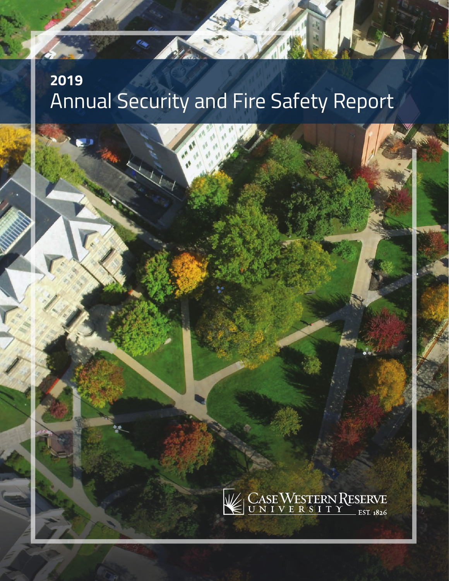# **2019** Annual Security and Fire Safety Report

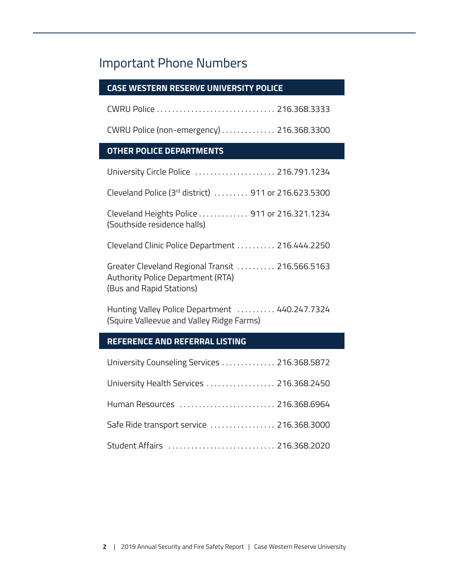# Important Phone Numbers

# **CASE WESTERN RESERVE UNIVERSITY POLICE**

CWRU Police . . . . . . . . . . . . . . . . . . . . . . . . . . . . . . 216.368.3333

CWRU Police (non-emergency) . . . . . . . . . . . . . 216.368.3300

# **OTHER POLICE DEPARTMENTS**

| University Circle Police  216.791.1234                                                                            |
|-------------------------------------------------------------------------------------------------------------------|
| Cleveland Police (3rd district)  911 or 216.623.5300                                                              |
| Cleveland Heights Police 911 or 216.321.1234<br>(Southside residence halls)                                       |
| Cleveland Clinic Police Department  216.444.2250                                                                  |
| Greater Cleveland Regional Transit  216.566.5163<br>Authority Police Department (RTA)<br>(Bus and Rapid Stations) |

Hunting Valley Police Department . . . . . . . . . 440.247.7324 (Squire Valleevue and Valley Ridge Farms)

# **REFERENCE AND REFERRAL LISTING**

| University Counseling Services  216.368.5872 |
|----------------------------------------------|
| University Health Services  216.368.2450     |
| Human Resources  216.368.6964                |
| Safe Ride transport service  216.368.3000    |
| Student Affairs  216.368.2020                |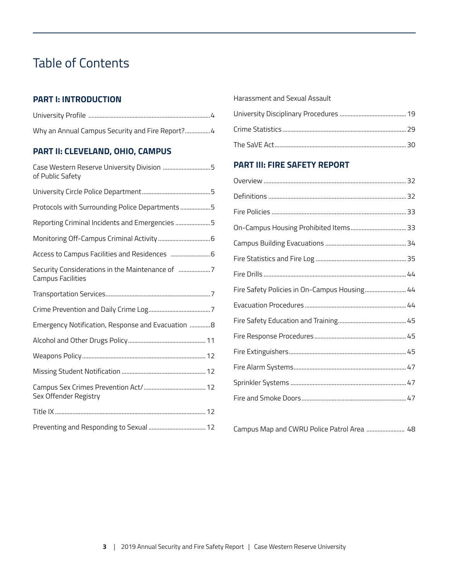# Table of Contents

# **PART I: INTRODUCTION**

| Why an Annual Campus Security and Fire Report? 4 |
|--------------------------------------------------|

# **PART II: CLEVELAND, OHIO, CAMPUS**

| Case Western Reserve University Division 5<br>of Public Safety |
|----------------------------------------------------------------|
|                                                                |
| Protocols with Surrounding Police Departments5                 |
| Reporting Criminal Incidents and Emergencies 5                 |
|                                                                |
|                                                                |
| <b>Campus Facilities</b>                                       |
|                                                                |
|                                                                |
| Emergency Notification, Response and Evacuation 8              |
|                                                                |
|                                                                |
|                                                                |
| Sex Offender Registry                                          |
|                                                                |
|                                                                |

#### [Harassment and Sexual Assault](#page-14-0)

# **PART III: FIRE SAFETY REPORT**

| Fire Safety Policies in On-Campus Housing 44 |
|----------------------------------------------|
|                                              |
|                                              |
|                                              |
|                                              |
|                                              |
|                                              |
|                                              |
|                                              |

Campus Map and CWRU Police Patrol Area ......................... 48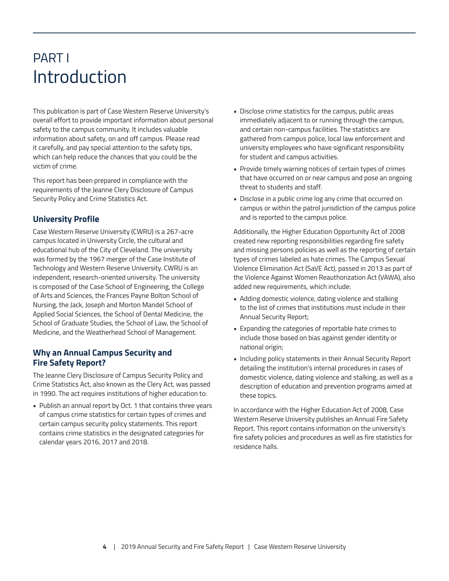# <span id="page-3-0"></span>PART I Introduction

This publication is part of Case Western Reserve University's overall effort to provide important information about personal safety to the campus community. It includes valuable information about safety, on and off campus. Please read it carefully, and pay special attention to the safety tips, which can help reduce the chances that you could be the victim of crime.

This report has been prepared in compliance with the requirements of the Jeanne Clery Disclosure of Campus Security Policy and Crime Statistics Act.

# **University Profile**

Case Western Reserve University (CWRU) is a 267-acre campus located in University Circle, the cultural and educational hub of the City of Cleveland. The university was formed by the 1967 merger of the Case Institute of Technology and Western Reserve University. CWRU is an independent, research-oriented university. The university is composed of the Case School of Engineering, the College of Arts and Sciences, the Frances Payne Bolton School of Nursing, the Jack, Joseph and Morton Mandel School of Applied Social Sciences, the School of Dental Medicine, the School of Graduate Studies, the School of Law, the School of Medicine, and the Weatherhead School of Management.

# **Why an Annual Campus Security and Fire Safety Report?**

The Jeanne Clery Disclosure of Campus Security Policy and Crime Statistics Act, also known as the Clery Act, was passed in 1990. The act requires institutions of higher education to:

• Publish an annual report by Oct. 1 that contains three years of campus crime statistics for certain types of crimes and certain campus security policy statements. This report contains crime statistics in the designated categories for calendar years 2016, 2017 and 2018.

- Disclose crime statistics for the campus, public areas immediately adjacent to or running through the campus, and certain non-campus facilities. The statistics are gathered from campus police, local law enforcement and university employees who have significant responsibility for student and campus activities.
- Provide timely warning notices of certain types of crimes that have occurred on or near campus and pose an ongoing threat to students and staff.
- Disclose in a public crime log any crime that occurred on campus or within the patrol jurisdiction of the campus police and is reported to the campus police.

Additionally, the Higher Education Opportunity Act of 2008 created new reporting responsibilities regarding fire safety and missing persons policies as well as the reporting of certain types of crimes labeled as hate crimes. The Campus Sexual Violence Elimination Act (SaVE Act), passed in 2013 as part of the Violence Against Women Reauthorization Act (VAWA), also added new requirements, which include:

- Adding domestic violence, dating violence and stalking to the list of crimes that institutions must include in their Annual Security Report;
- Expanding the categories of reportable hate crimes to include those based on bias against gender identity or national origin;
- Including policy statements in their Annual Security Report detailing the institution's internal procedures in cases of domestic violence, dating violence and stalking, as well as a description of education and prevention programs aimed at these topics.

In accordance with the Higher Education Act of 2008, Case Western Reserve University publishes an Annual Fire Safety Report. This report contains information on the university's fire safety policies and procedures as well as fire statistics for residence halls.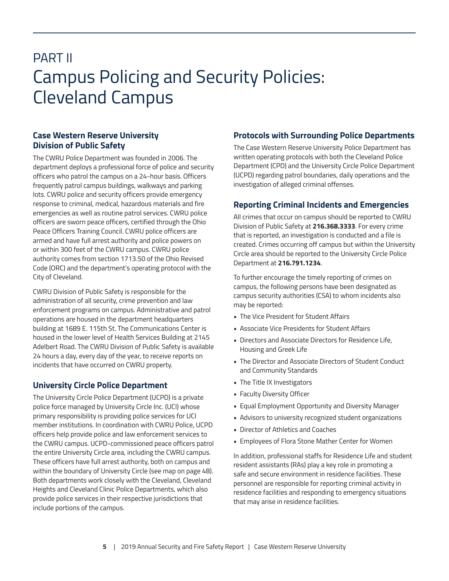# <span id="page-4-0"></span>PART II Campus Policing and Security Policies: Cleveland Campus

# **Case Western Reserve University Division of Public Safety**

The CWRU Police Department was founded in 2006. The department deploys a professional force of police and security officers who patrol the campus on a 24-hour basis. Officers frequently patrol campus buildings, walkways and parking lots. CWRU police and security officers provide emergency response to criminal, medical, hazardous materials and fire emergencies as well as routine patrol services. CWRU police officers are sworn peace officers, certified through the Ohio Peace Officers Training Council. CWRU police officers are armed and have full arrest authority and police powers on or within 300 feet of the CWRU campus. CWRU police authority comes from section 1713.50 of the Ohio Revised Code (ORC) and the department's operating protocol with the City of Cleveland.

CWRU Division of Public Safety is responsible for the administration of all security, crime prevention and law enforcement programs on campus. Administrative and patrol operations are housed in the department headquarters building at 1689 E. 115th St. The Communications Center is housed in the lower level of Health Services Building at 2145 Adelbert Road. The CWRU Division of Public Safety is available 24 hours a day, every day of the year, to receive reports on incidents that have occurred on CWRU property.

# **University Circle Police Department**

The University Circle Police Department (UCPD) is a private police force managed by University Circle Inc. (UCI) whose primary responsibility is providing police services for UCI member institutions. In coordination with CWRU Police, UCPD officers help provide police and law enforcement services to the CWRU campus. UCPD-commissioned peace officers patrol the entire University Circle area, including the CWRU campus. These officers have full arrest authority, both on campus and within the boundary of University Circle (see map on page 48). Both departments work closely with the Cleveland, Cleveland Heights and Cleveland Clinic Police Departments, which also provide police services in their respective jurisdictions that include portions of the campus.

# **Protocols with Surrounding Police Departments**

The Case Western Reserve University Police Department has written operating protocols with both the Cleveland Police Department (CPD) and the University Circle Police Department (UCPD) regarding patrol boundaries, daily operations and the investigation of alleged criminal offenses.

# **Reporting Criminal Incidents and Emergencies**

All crimes that occur on campus should be reported to CWRU Division of Public Safety at **216.368.3333**. For every crime that is reported, an investigation is conducted and a file is created. Crimes occurring off campus but within the University Circle area should be reported to the University Circle Police Department at **216.791.1234**.

To further encourage the timely reporting of crimes on campus, the following persons have been designated as campus security authorities (CSA) to whom incidents also may be reported:

- The Vice President for Student Affairs
- Associate Vice Presidents for Student Affairs
- Directors and Associate Directors for Residence Life, Housing and Greek Life
- The Director and Associate Directors of Student Conduct and Community Standards
- The Title IX Investigators
- Faculty Diversity Officer
- Equal Employment Opportunity and Diversity Manager
- Advisors to university recognized student organizations
- Director of Athletics and Coaches
- Employees of Flora Stone Mather Center for Women

In addition, professional staffs for Residence Life and student resident assistants (RAs) play a key role in promoting a safe and secure environment in residence facilities. These personnel are responsible for reporting criminal activity in residence facilities and responding to emergency situations that may arise in residence facilities.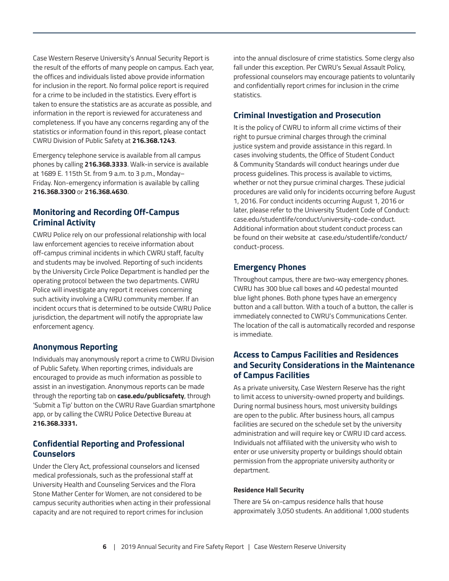<span id="page-5-0"></span>Case Western Reserve University's Annual Security Report is the result of the efforts of many people on campus. Each year, the offices and individuals listed above provide information for inclusion in the report. No formal police report is required for a crime to be included in the statistics. Every effort is taken to ensure the statistics are as accurate as possible, and information in the report is reviewed for accurateness and completeness. If you have any concerns regarding any of the statistics or information found in this report, please contact CWRU Division of Public Safety at **216.368.1243**.

Emergency telephone service is available from all campus phones by calling **216.368.3333**. Walk-in service is available at 1689 E. 115th St. from 9 a.m. to 3 p.m., Monday– Friday. Non-emergency information is available by calling **216.368.3300** or **216.368.4630**.

# **Monitoring and Recording Off-Campus Criminal Activity**

CWRU Police rely on our professional relationship with local law enforcement agencies to receive information about off-campus criminal incidents in which CWRU staff, faculty and students may be involved. Reporting of such incidents by the University Circle Police Department is handled per the operating protocol between the two departments. CWRU Police will investigate any report it receives concerning such activity involving a CWRU community member. If an incident occurs that is determined to be outside CWRU Police jurisdiction, the department will notify the appropriate law enforcement agency.

# **Anonymous Reporting**

Individuals may anonymously report a crime to CWRU Division of Public Safety. When reporting crimes, individuals are encouraged to provide as much information as possible to assist in an investigation. Anonymous reports can be made through the reporting tab on **case.edu/publicsafety**, through 'Submit a Tip' button on the CWRU Rave Guardian smartphone app, or by calling the CWRU Police Detective Bureau at **216.368.3331.**

# **Confidential Reporting and Professional Counselors**

Under the Clery Act, professional counselors and licensed medical professionals, such as the professional staff at University Health and Counseling Services and the Flora Stone Mather Center for Women, are not considered to be campus security authorities when acting in their professional capacity and are not required to report crimes for inclusion

into the annual disclosure of crime statistics. Some clergy also fall under this exception. Per CWRU's Sexual Assault Policy, professional counselors may encourage patients to voluntarily and confidentially report crimes for inclusion in the crime statistics.

# **Criminal Investigation and Prosecution**

It is the policy of CWRU to inform all crime victims of their right to pursue criminal charges through the criminal justice system and provide assistance in this regard. In cases involving students, the Office of Student Conduct & Community Standards will conduct hearings under due process guidelines. This process is available to victims, whether or not they pursue criminal charges. These judicial procedures are valid only for incidents occurring before August 1, 2016. For conduct incidents occurring August 1, 2016 or later, please refer to the University Student Code of Conduct: case.edu/studentlife/conduct/university-code-conduct. Additional information about student conduct process can be found on their website at case.edu/studentlife/conduct/ conduct-process.

#### **Emergency Phones**

Throughout campus, there are two-way emergency phones. CWRU has 300 blue call boxes and 40 pedestal mounted blue light phones. Both phone types have an emergency button and a call button. With a touch of a button, the caller is immediately connected to CWRU's Communications Center. The location of the call is automatically recorded and response is immediate.

# **Access to Campus Facilities and Residences and Security Considerations in the Maintenance of Campus Facilities**

As a private university, Case Western Reserve has the right to limit access to university-owned property and buildings. During normal business hours, most university buildings are open to the public. After business hours, all campus facilities are secured on the schedule set by the university administration and will require key or CWRU ID card access. Individuals not affiliated with the university who wish to enter or use university property or buildings should obtain permission from the appropriate university authority or department.

#### **Residence Hall Security**

There are 54 on-campus residence halls that house approximately 3,050 students. An additional 1,000 students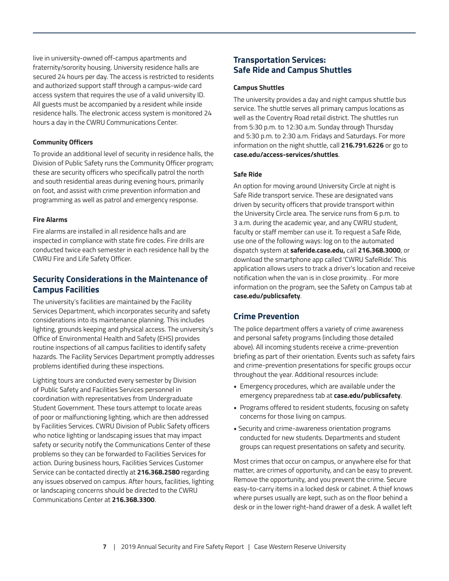<span id="page-6-0"></span>live in university-owned off-campus apartments and fraternity/sorority housing. University residence halls are secured 24 hours per day. The access is restricted to residents and authorized support staff through a campus-wide card access system that requires the use of a valid university ID. All guests must be accompanied by a resident while inside residence halls. The electronic access system is monitored 24 hours a day in the CWRU Communications Center.

#### **Community Officers**

To provide an additional level of security in residence halls, the Division of Public Safety runs the Community Officer program; these are security officers who specifically patrol the north and south residential areas during evening hours, primarily on foot, and assist with crime prevention information and programming as well as patrol and emergency response.

#### **Fire Alarms**

Fire alarms are installed in all residence halls and are inspected in compliance with state fire codes. Fire drills are conducted twice each semester in each residence hall by the CWRU Fire and Life Safety Officer.

# **Security Considerations in the Maintenance of Campus Facilities**

The university's facilities are maintained by the Facility Services Department, which incorporates security and safety considerations into its maintenance planning. This includes lighting, grounds keeping and physical access. The university's Office of Environmental Health and Safety (EHS) provides routine inspections of all campus facilities to identify safety hazards. The Facility Services Department promptly addresses problems identified during these inspections.

Lighting tours are conducted every semester by Division of Public Safety and Facilities Services personnel in coordination with representatives from Undergraduate Student Government. These tours attempt to locate areas of poor or malfunctioning lighting, which are then addressed by Facilities Services. CWRU Division of Public Safety officers who notice lighting or landscaping issues that may impact safety or security notify the Communications Center of these problems so they can be forwarded to Facilities Services for action. During business hours, Facilities Services Customer Service can be contacted directly at **216.368.2580** regarding any issues observed on campus. After hours, facilities, lighting or landscaping concerns should be directed to the CWRU Communications Center at **216.368.3300**.

# **Transportation Services: Safe Ride and Campus Shuttles**

#### **Campus Shuttles**

The university provides a day and night campus shuttle bus service. The shuttle serves all primary campus locations as well as the Coventry Road retail district. The shuttles run from 5:30 p.m. to 12:30 a.m. Sunday through Thursday and 5:30 p.m. to 2:30 a.m. Fridays and Saturdays. For more information on the night shuttle, call **216.791.6226** or go to **case.edu/access-services/shuttles**.

#### **Safe Ride**

An option for moving around University Circle at night is Safe Ride transport service. These are designated vans driven by security officers that provide transport within the University Circle area. The service runs from 6 p.m. to 3 a.m. during the academic year, and any CWRU student, faculty or staff member can use it. To request a Safe Ride, use one of the following ways: log on to the automated dispatch system at **saferide.case.edu,** call **216.368.3000**, or download the smartphone app called 'CWRU SafeRide'. This application allows users to track a driver's location and receive notification when the van is in close proximity.. For more information on the program, see the Safety on Campus tab at **case.edu/publicsafety**.

# **Crime Prevention**

The police department offers a variety of crime awareness and personal safety programs (including those detailed above). All incoming students receive a crime-prevention briefing as part of their orientation. Events such as safety fairs and crime-prevention presentations for specific groups occur throughout the year. Additional resources include:

- Emergency procedures, which are available under the emergency preparedness tab at **case.edu/publicsafety**.
- Programs offered to resident students, focusing on safety concerns for those living on campus.
- Security and crime-awareness orientation programs conducted for new students. Departments and student groups can request presentations on safety and security.

Most crimes that occur on campus, or anywhere else for that matter, are crimes of opportunity, and can be easy to prevent. Remove the opportunity, and you prevent the crime. Secure easy-to-carry items in a locked desk or cabinet. A thief knows where purses usually are kept, such as on the floor behind a desk or in the lower right-hand drawer of a desk. A wallet left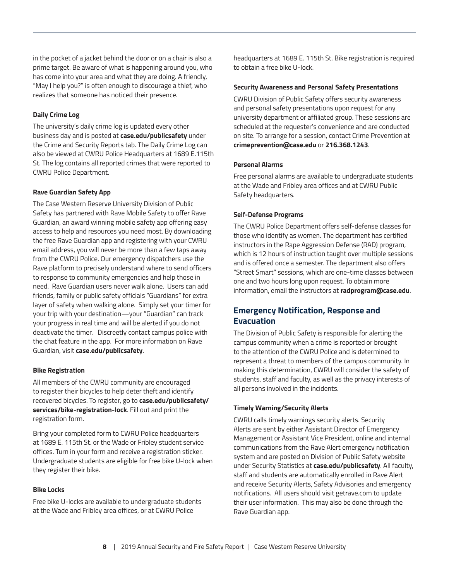in the pocket of a jacket behind the door or on a chair is also a prime target. Be aware of what is happening around you, who has come into your area and what they are doing. A friendly, "May I help you?" is often enough to discourage a thief, who realizes that someone has noticed their presence.

#### **Daily Crime Log**

The university's daily crime log is updated every other business day and is posted at **case.edu/publicsafety** under the Crime and Security Reports tab. The Daily Crime Log can also be viewed at CWRU Police Headquarters at 1689 E.115th St. The log contains all reported crimes that were reported to CWRU Police Department.

#### **Rave Guardian Safety App**

The Case Western Reserve University Division of Public Safety has partnered with Rave Mobile Safety to offer Rave Guardian, an award winning mobile safety app offering easy access to help and resources you need most. By downloading the free Rave Guardian app and registering with your CWRU email address, you will never be more than a few taps away from the CWRU Police. Our emergency dispatchers use the Rave platform to precisely understand where to send officers to response to community emergencies and help those in need. Rave Guardian users never walk alone. Users can add friends, family or public safety officials "Guardians" for extra layer of safety when walking alone. Simply set your timer for your trip with your destination—your "Guardian" can track your progress in real time and will be alerted if you do not deactivate the timer. Discreetly contact campus police with the chat feature in the app. For more information on Rave Guardian, visit **case.edu/publicsafety**.

#### **Bike Registration**

All members of the CWRU community are encouraged to register their bicycles to help deter theft and identify recovered bicycles. To register, go to **case.edu/publicsafety/ services/bike-registration-lock**. Fill out and print the registration form.

Bring your completed form to CWRU Police headquarters at 1689 E. 115th St. or the Wade or Fribley student service offices. Turn in your form and receive a registration sticker. Undergraduate students are eligible for free bike U-lock when they register their bike.

#### **Bike Locks**

Free bike U-locks are available to undergraduate students at the Wade and Fribley area offices, or at CWRU Police

headquarters at 1689 E. 115th St. Bike registration is required to obtain a free bike U-lock.

#### **Security Awareness and Personal Safety Presentations**

CWRU Division of Public Safety offers security awareness and personal safety presentations upon request for any university department or affiliated group. These sessions are scheduled at the requester's convenience and are conducted on site. To arrange for a session, contact Crime Prevention at **crimeprevention@case.edu** or **216.368.1243**.

#### **Personal Alarms**

Free personal alarms are available to undergraduate students at the Wade and Fribley area offices and at CWRU Public Safety headquarters.

#### **Self-Defense Programs**

The CWRU Police Department offers self-defense classes for those who identify as women. The department has certified instructors in the Rape Aggression Defense (RAD) program, which is 12 hours of instruction taught over multiple sessions and is offered once a semester. The department also offers "Street Smart" sessions, which are one-time classes between one and two hours long upon request. To obtain more information, email the instructors at **radprogram@case.edu**.

# **Emergency Notification, Response and Evacuation**

The Division of Public Safety is responsible for alerting the campus community when a crime is reported or brought to the attention of the CWRU Police and is determined to represent a threat to members of the campus community. In making this determination, CWRU will consider the safety of students, staff and faculty, as well as the privacy interests of all persons involved in the incidents.

#### **Timely Warning/Security Alerts**

CWRU calls timely warnings security alerts. Security Alerts are sent by either Assistant Director of Emergency Management or Assistant Vice President, online and internal communications from the Rave Alert emergency notification system and are posted on Division of Public Safety website under Security Statistics at **case.edu/publicsafety**. All faculty, staff and students are automatically enrolled in Rave Alert and receive Security Alerts, Safety Advisories and emergency notifications. All users should visit getrave.com to update their user information. This may also be done through the Rave Guardian app.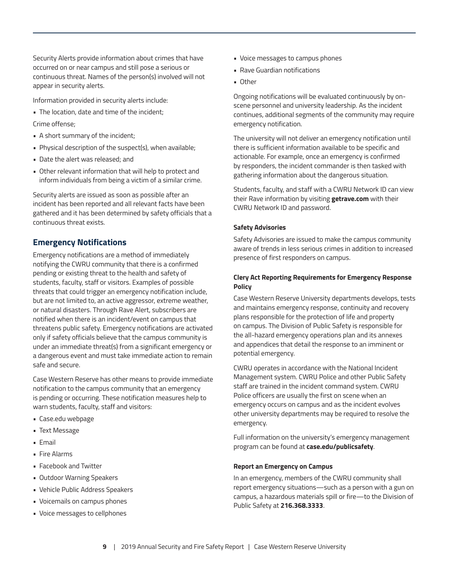Security Alerts provide information about crimes that have occurred on or near campus and still pose a serious or continuous threat. Names of the person(s) involved will not appear in security alerts.

Information provided in security alerts include:

• The location, date and time of the incident;

Crime offense;

- A short summary of the incident;
- Physical description of the suspect(s), when available;
- Date the alert was released; and
- Other relevant information that will help to protect and inform individuals from being a victim of a similar crime.

Security alerts are issued as soon as possible after an incident has been reported and all relevant facts have been gathered and it has been determined by safety officials that a continuous threat exists.

#### **Emergency Notifications**

Emergency notifications are a method of immediately notifying the CWRU community that there is a confirmed pending or existing threat to the health and safety of students, faculty, staff or visitors. Examples of possible threats that could trigger an emergency notification include, but are not limited to, an active aggressor, extreme weather, or natural disasters. Through Rave Alert, subscribers are notified when there is an incident/event on campus that threatens public safety. Emergency notifications are activated only if safety officials believe that the campus community is under an immediate threat(s) from a significant emergency or a dangerous event and must take immediate action to remain safe and secure.

Case Western Reserve has other means to provide immediate notification to the campus community that an emergency is pending or occurring. These notification measures help to warn students, faculty, staff and visitors:

- Case.edu webpage
- Text Message
- Email
- Fire Alarms
- Facebook and Twitter
- Outdoor Warning Speakers
- Vehicle Public Address Speakers
- Voicemails on campus phones
- Voice messages to cellphones
- Voice messages to campus phones
- Rave Guardian notifications
- Other

Ongoing notifications will be evaluated continuously by onscene personnel and university leadership. As the incident continues, additional segments of the community may require emergency notification.

The university will not deliver an emergency notification until there is sufficient information available to be specific and actionable. For example, once an emergency is confirmed by responders, the incident commander is then tasked with gathering information about the dangerous situation.

Students, faculty, and staff with a CWRU Network ID can view their Rave information by visiting **getrave.com** with their CWRU Network ID and password.

#### **Safety Advisories**

Safety Advisories are issued to make the campus community aware of trends in less serious crimes in addition to increased presence of first responders on campus.

#### **Clery Act Reporting Requirements for Emergency Response Policy**

Case Western Reserve University departments develops, tests and maintains emergency response, continuity and recovery plans responsible for the protection of life and property on campus. The Division of Public Safety is responsible for the all-hazard emergency operations plan and its annexes and appendices that detail the response to an imminent or potential emergency.

CWRU operates in accordance with the National Incident Management system. CWRU Police and other Public Safety staff are trained in the incident command system. CWRU Police officers are usually the first on scene when an emergency occurs on campus and as the incident evolves other university departments may be required to resolve the emergency.

Full information on the university's emergency management program can be found at **case.edu/publicsafety**.

#### **Report an Emergency on Campus**

In an emergency, members of the CWRU community shall report emergency situations—such as a person with a gun on campus, a hazardous materials spill or fire—to the Division of Public Safety at **216.368.3333**.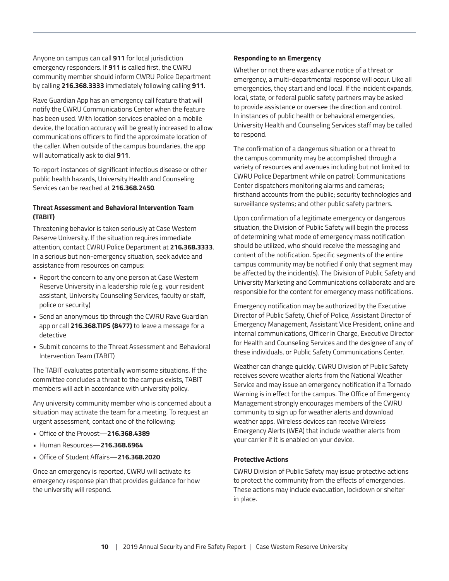Anyone on campus can call **911** for local jurisdiction emergency responders. If **911** is called first, the CWRU community member should inform CWRU Police Department by calling **216.368.3333** immediately following calling **911**.

Rave Guardian App has an emergency call feature that will notify the CWRU Communications Center when the feature has been used. With location services enabled on a mobile device, the location accuracy will be greatly increased to allow communications officers to find the approximate location of the caller. When outside of the campus boundaries, the app will automatically ask to dial **911**.

To report instances of significant infectious disease or other public health hazards, University Health and Counseling Services can be reached at **216.368.2450**.

#### **Threat Assessment and Behavioral Intervention Team (TABIT)**

Threatening behavior is taken seriously at Case Western Reserve University. If the situation requires immediate attention, contact CWRU Police Department at **216.368.3333**. In a serious but non-emergency situation, seek advice and assistance from resources on campus:

- Report the concern to any one person at Case Western Reserve University in a leadership role (e.g. your resident assistant, University Counseling Services, faculty or staff, police or security)
- Send an anonymous tip through the CWRU Rave Guardian app or call **216.368.TIPS (8477)** to leave a message for a detective
- Submit concerns to the Threat Assessment and Behavioral Intervention Team (TABIT)

The TABIT evaluates potentially worrisome situations. If the committee concludes a threat to the campus exists, TABIT members will act in accordance with university policy.

Any university community member who is concerned about a situation may activate the team for a meeting. To request an urgent assessment, contact one of the following:

- Office of the Provost—**216.368.4389**
- Human Resources—**216.368.6964**
- Office of Student Affairs—**216.368.2020**

Once an emergency is reported, CWRU will activate its emergency response plan that provides guidance for how the university will respond.

#### **Responding to an Emergency**

Whether or not there was advance notice of a threat or emergency, a multi-departmental response will occur. Like all emergencies, they start and end local. If the incident expands, local, state, or federal public safety partners may be asked to provide assistance or oversee the direction and control. In instances of public health or behavioral emergencies, University Health and Counseling Services staff may be called to respond.

The confirmation of a dangerous situation or a threat to the campus community may be accomplished through a variety of resources and avenues including but not limited to: CWRU Police Department while on patrol; Communications Center dispatchers monitoring alarms and cameras; firsthand accounts from the public; security technologies and surveillance systems; and other public safety partners.

Upon confirmation of a legitimate emergency or dangerous situation, the Division of Public Safety will begin the process of determining what mode of emergency mass notification should be utilized, who should receive the messaging and content of the notification. Specific segments of the entire campus community may be notified if only that segment may be affected by the incident(s). The Division of Public Safety and University Marketing and Communications collaborate and are responsible for the content for emergency mass notifications.

Emergency notification may be authorized by the Executive Director of Public Safety, Chief of Police, Assistant Director of Emergency Management, Assistant Vice President, online and internal communications, Officer in Charge, Executive Director for Health and Counseling Services and the designee of any of these individuals, or Public Safety Communications Center.

Weather can change quickly. CWRU Division of Public Safety receives severe weather alerts from the National Weather Service and may issue an emergency notification if a Tornado Warning is in effect for the campus. The Office of Emergency Management strongly encourages members of the CWRU community to sign up for weather alerts and download weather apps. Wireless devices can receive Wireless Emergency Alerts (WEA) that include weather alerts from your carrier if it is enabled on your device.

#### **Protective Actions**

CWRU Division of Public Safety may issue protective actions to protect the community from the effects of emergencies. These actions may include evacuation, lockdown or shelter in place.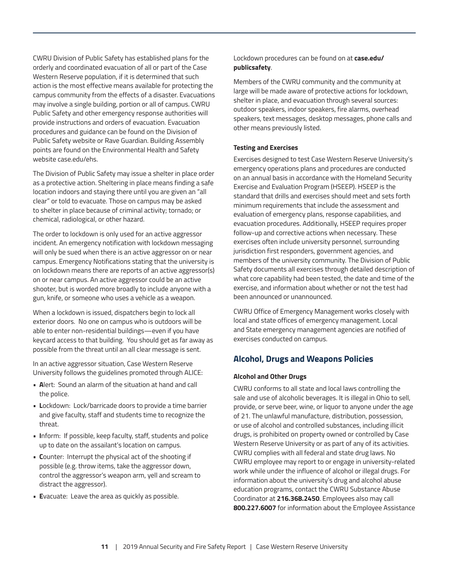CWRU Division of Public Safety has established plans for the orderly and coordinated evacuation of all or part of the Case Western Reserve population, if it is determined that such action is the most effective means available for protecting the campus community from the effects of a disaster. Evacuations may involve a single building, portion or all of campus. CWRU Public Safety and other emergency response authorities will provide instructions and orders of evacuation. Evacuation procedures and guidance can be found on the Division of Public Safety website or Rave Guardian. Building Assembly points are found on the Environmental Health and Safety website case.edu/ehs.

The Division of Public Safety may issue a shelter in place order as a protective action. Sheltering in place means finding a safe location indoors and staying there until you are given an "all clear" or told to evacuate. Those on campus may be asked to shelter in place because of criminal activity; tornado; or chemical, radiological, or other hazard.

The order to lockdown is only used for an active aggressor incident. An emergency notification with lockdown messaging will only be sued when there is an active aggressor on or near campus. Emergency Notifications stating that the university is on lockdown means there are reports of an active aggressor(s) on or near campus. An active aggressor could be an active shooter, but is worded more broadly to include anyone with a gun, knife, or someone who uses a vehicle as a weapon.

When a lockdown is issued, dispatchers begin to lock all exterior doors. No one on campus who is outdoors will be able to enter non-residential buildings—even if you have keycard access to that building. You should get as far away as possible from the threat until an all clear message is sent.

In an active aggressor situation, Case Western Reserve University follows the guidelines promoted through ALICE:

- **A**lert: Sound an alarm of the situation at hand and call the police.
- **L**ockdown: Lock/barricade doors to provide a time barrier and give faculty, staff and students time to recognize the threat.
- **I**nform: If possible, keep faculty, staff, students and police up to date on the assailant's location on campus.
- **C**ounter: Interrupt the physical act of the shooting if possible (e.g. throw items, take the aggressor down, control the aggressor's weapon arm, yell and scream to distract the aggressor).
- **E**vacuate: Leave the area as quickly as possible.

#### Lockdown procedures can be found on at **case.edu/ publicsafety**.

Members of the CWRU community and the community at large will be made aware of protective actions for lockdown, shelter in place, and evacuation through several sources: outdoor speakers, indoor speakers, fire alarms, overhead speakers, text messages, desktop messages, phone calls and other means previously listed.

#### **Testing and Exercises**

Exercises designed to test Case Western Reserve University's emergency operations plans and procedures are conducted on an annual basis in accordance with the Homeland Security Exercise and Evaluation Program (HSEEP). HSEEP is the standard that drills and exercises should meet and sets forth minimum requirements that include the assessment and evaluation of emergency plans, response capabilities, and evacuation procedures. Additionally, HSEEP requires proper follow-up and corrective actions when necessary. These exercises often include university personnel, surrounding jurisdiction first responders, government agencies, and members of the university community. The Division of Public Safety documents all exercises through detailed description of what core capability had been tested, the date and time of the exercise, and information about whether or not the test had been announced or unannounced.

CWRU Office of Emergency Management works closely with local and state offices of emergency management. Local and State emergency management agencies are notified of exercises conducted on campus.

# **Alcohol, Drugs and Weapons Policies**

#### **Alcohol and Other Drugs**

CWRU conforms to all state and local laws controlling the sale and use of alcoholic beverages. It is illegal in Ohio to sell, provide, or serve beer, wine, or liquor to anyone under the age of 21. The unlawful manufacture, distribution, possession, or use of alcohol and controlled substances, including illicit drugs, is prohibited on property owned or controlled by Case Western Reserve University or as part of any of its activities. CWRU complies with all federal and state drug laws. No CWRU employee may report to or engage in university-related work while under the influence of alcohol or illegal drugs. For information about the university's drug and alcohol abuse education programs, contact the CWRU Substance Abuse Coordinator at **216.368.2450**. Employees also may call **800.227.6007** for information about the Employee Assistance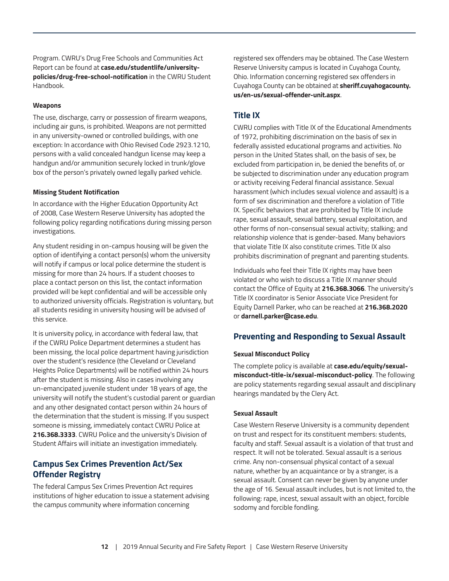Program. CWRU's Drug Free Schools and Communities Act Report can be found at **case.edu/studentlife/universitypolicies/drug-free-school-notification** in the CWRU Student Handbook.

#### **Weapons**

The use, discharge, carry or possession of firearm weapons, including air guns, is prohibited. Weapons are not permitted in any university-owned or controlled buildings, with one exception: In accordance with Ohio Revised Code 2923.1210, persons with a valid concealed handgun license may keep a handgun and/or ammunition securely locked in trunk/glove box of the person's privately owned legally parked vehicle.

#### **Missing Student Notification**

In accordance with the Higher Education Opportunity Act of 2008, Case Western Reserve University has adopted the following policy regarding notifications during missing person investigations.

Any student residing in on-campus housing will be given the option of identifying a contact person(s) whom the university will notify if campus or local police determine the student is missing for more than 24 hours. If a student chooses to place a contact person on this list, the contact information provided will be kept confidential and will be accessible only to authorized university officials. Registration is voluntary, but all students residing in university housing will be advised of this service.

It is university policy, in accordance with federal law, that if the CWRU Police Department determines a student has been missing, the local police department having jurisdiction over the student's residence (the Cleveland or Cleveland Heights Police Departments) will be notified within 24 hours after the student is missing. Also in cases involving any un-emancipated juvenile student under 18 years of age, the university will notify the student's custodial parent or guardian and any other designated contact person within 24 hours of the determination that the student is missing. If you suspect someone is missing, immediately contact CWRU Police at **216.368.3333**. CWRU Police and the university's Division of Student Affairs will initiate an investigation immediately.

# **Campus Sex Crimes Prevention Act/Sex Offender Registry**

The federal Campus Sex Crimes Prevention Act requires institutions of higher education to issue a statement advising the campus community where information concerning

registered sex offenders may be obtained. The Case Western Reserve University campus is located in Cuyahoga County, Ohio. Information concerning registered sex offenders in Cuyahoga County can be obtained at **sheriff.cuyahogacounty. us/en-us/sexual-offender-unit.aspx**.

# **Title IX**

CWRU complies with Title IX of the Educational Amendments of 1972, prohibiting discrimination on the basis of sex in federally assisted educational programs and activities. No person in the United States shall, on the basis of sex, be excluded from participation in, be denied the benefits of, or be subjected to discrimination under any education program or activity receiving Federal financial assistance. Sexual harassment (which includes sexual violence and assault) is a form of sex discrimination and therefore a violation of Title IX. Specific behaviors that are prohibited by Title IX include rape, sexual assault, sexual battery, sexual exploitation, and other forms of non-consensual sexual activity; stalking; and relationship violence that is gender-based. Many behaviors that violate Title IX also constitute crimes. Title IX also prohibits discrimination of pregnant and parenting students.

Individuals who feel their Title IX rights may have been violated or who wish to discuss a Title IX manner should contact the Office of Equity at **216.368.3066**. The university's Title IX coordinator is Senior Associate Vice President for Equity Darnell Parker, who can be reached at **216.368.2020** or **darnell.parker@case.edu**.

#### **Preventing and Responding to Sexual Assault**

#### **Sexual Misconduct Policy**

The complete policy is available at **case.edu/equity/sexualmisconduct-title-ix/sexual-misconduct-policy**. The following are policy statements regarding sexual assault and disciplinary hearings mandated by the Clery Act.

#### **Sexual Assault**

Case Western Reserve University is a community dependent on trust and respect for its constituent members: students, faculty and staff. Sexual assault is a violation of that trust and respect. It will not be tolerated. Sexual assault is a serious crime. Any non-consensual physical contact of a sexual nature, whether by an acquaintance or by a stranger, is a sexual assault. Consent can never be given by anyone under the age of 16. Sexual assault includes, but is not limited to, the following: rape, incest, sexual assault with an object, forcible sodomy and forcible fondling.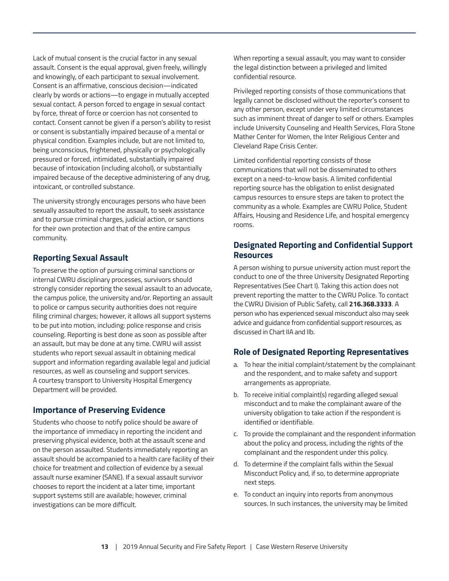Lack of mutual consent is the crucial factor in any sexual assault. Consent is the equal approval, given freely, willingly and knowingly, of each participant to sexual involvement. Consent is an affirmative, conscious decision—indicated clearly by words or actions—to engage in mutually accepted sexual contact. A person forced to engage in sexual contact by force, threat of force or coercion has not consented to contact. Consent cannot be given if a person's ability to resist or consent is substantially impaired because of a mental or physical condition. Examples include, but are not limited to, being unconscious, frightened, physically or psychologically pressured or forced, intimidated, substantially impaired because of intoxication (including alcohol), or substantially impaired because of the deceptive administering of any drug, intoxicant, or controlled substance.

The university strongly encourages persons who have been sexually assaulted to report the assault, to seek assistance and to pursue criminal charges, judicial action, or sanctions for their own protection and that of the entire campus community.

# **Reporting Sexual Assault**

To preserve the option of pursuing criminal sanctions or internal CWRU disciplinary processes, survivors should strongly consider reporting the sexual assault to an advocate, the campus police, the university and/or. Reporting an assault to police or campus security authorities does not require filing criminal charges; however, it allows all support systems to be put into motion, including: police response and crisis counseling. Reporting is best done as soon as possible after an assault, but may be done at any time. CWRU will assist students who report sexual assault in obtaining medical support and information regarding available legal and judicial resources, as well as counseling and support services. A courtesy transport to University Hospital Emergency Department will be provided.

#### **Importance of Preserving Evidence**

Students who choose to notify police should be aware of the importance of immediacy in reporting the incident and preserving physical evidence, both at the assault scene and on the person assaulted. Students immediately reporting an assault should be accompanied to a health care facility of their choice for treatment and collection of evidence by a sexual assault nurse examiner (SANE). If a sexual assault survivor chooses to report the incident at a later time, important support systems still are available; however, criminal investigations can be more difficult.

When reporting a sexual assault, you may want to consider the legal distinction between a privileged and limited confidential resource.

Privileged reporting consists of those communications that legally cannot be disclosed without the reporter's consent to any other person, except under very limited circumstances such as imminent threat of danger to self or others. Examples include University Counseling and Health Services, Flora Stone Mather Center for Women, the Inter Religious Center and Cleveland Rape Crisis Center.

Limited confidential reporting consists of those communications that will not be disseminated to others except on a need-to-know basis. A limited confidential reporting source has the obligation to enlist designated campus resources to ensure steps are taken to protect the community as a whole. Examples are CWRU Police, Student Affairs, Housing and Residence Life, and hospital emergency rooms.

# **Designated Reporting and Confidential Support Resources**

A person wishing to pursue university action must report the conduct to one of the three University Designated Reporting Representatives (See Chart I). Taking this action does not prevent reporting the matter to the CWRU Police. To contact the CWRU Division of Public Safety, call **216.368.3333**. A person who has experienced sexual misconduct also may seek advice and guidance from confidential support resources, as discussed in Chart IIA and IIb.

#### **Role of Designated Reporting Representatives**

- a. To hear the initial complaint/statement by the complainant and the respondent, and to make safety and support arrangements as appropriate.
- b. To receive initial complaint(s) regarding alleged sexual misconduct and to make the complainant aware of the university obligation to take action if the respondent is identified or identifiable.
- c. To provide the complainant and the respondent information about the policy and process, including the rights of the complainant and the respondent under this policy.
- d. To determine if the complaint falls within the Sexual Misconduct Policy and, if so, to determine appropriate next steps.
- e. To conduct an inquiry into reports from anonymous sources. In such instances, the university may be limited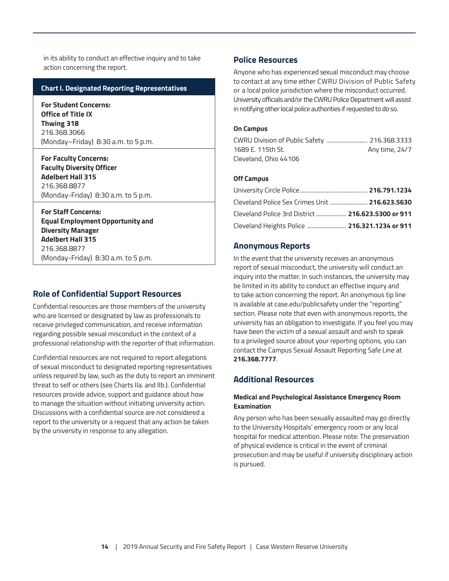<span id="page-13-0"></span>in its ability to conduct an effective inquiry and to take action concerning the report.

#### **Chart I. Designated Reporting Representatives**

**For Student Concerns: Office of Title IX Thwing 318** 216.368.3066 (Monday–Friday) 8:30 a.m. to 5 p.m.

**For Faculty Concerns: Faculty Diversity Officer Adelbert Hall 315** 216.368.8877 (Monday-Friday) 8:30 a.m. to 5 p.m.

**For Staff Concerns: Equal Employment Opportunity and Diversity Manager Adelbert Hall 315** 216.368.8877 (Monday-Friday) 8:30 a.m. to 5 p.m.

#### **Role of Confidential Support Resources**

Confidential resources are those members of the university who are licensed or designated by law as professionals to receive privileged communication, and receive information regarding possible sexual misconduct in the context of a professional relationship with the reporter of that information.

Confidential resources are not required to report allegations of sexual misconduct to designated reporting representatives unless required by law, such as the duty to report an imminent threat to self or others (see Charts IIa. and IIb.). Confidential resources provide advice, support and guidance about how to manage the situation without initiating university action. Discussions with a confidential source are not considered a report to the university or a request that any action be taken by the university in response to any allegation.

#### **Police Resources**

Anyone who has experienced sexual misconduct may choose to contact at any time either CWRU Division of Public Safety or a local police jurisdiction where the misconduct occurred. University officials and/or the CWRU Police Department will assist in notifying other local police authorities if requested to do so.

#### **On Campus**

| CWRU Division of Public Safety  216.368.3333 |                |
|----------------------------------------------|----------------|
| 1689 E. 115th St.                            | Any time, 24/7 |
| Cleveland, Ohio 44106                        |                |

#### **Off Campus**

| Cleveland Police Sex Crimes Unit  216.623.5630           |  |
|----------------------------------------------------------|--|
| Cleveland Police 3rd District <b>216.623.5300 or 911</b> |  |
|                                                          |  |

#### **Anonymous Reports**

In the event that the university receives an anonymous report of sexual misconduct, the university will conduct an inquiry into the matter. In such instances, the university may be limited in its ability to conduct an effective inquiry and to take action concerning the report. An anonymous tip line is available at case.edu/publicsafety under the "reporting" section. Please note that even with anonymous reports, the university has an obligation to investigate. If you feel you may have been the victim of a sexual assault and wish to speak to a privileged source about your reporting options, you can contact the Campus Sexual Assault Reporting Safe Line at **216.368.7777**.

#### **Additional Resources**

#### **Medical and Psychological Assistance Emergency Room Examination**

Any person who has been sexually assaulted may go directly to the University Hospitals' emergency room or any local hospital for medical attention. Please note: The preservation of physical evidence is critical in the event of criminal prosecution and may be useful if university disciplinary action is pursued.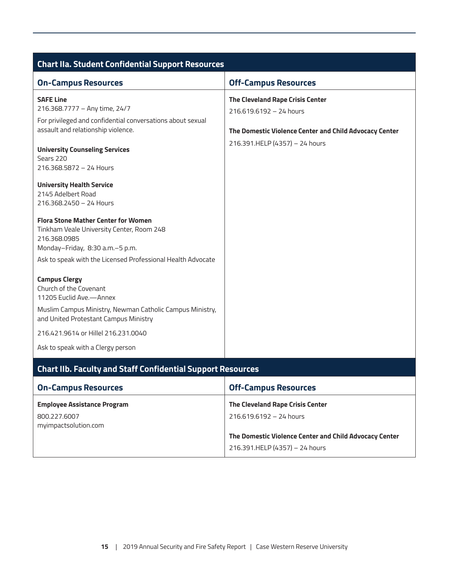<span id="page-14-0"></span>

| <b>Chart IIa. Student Confidential Support Resources</b>                                                                                   |                                                                                          |  |  |  |  |
|--------------------------------------------------------------------------------------------------------------------------------------------|------------------------------------------------------------------------------------------|--|--|--|--|
| <b>On-Campus Resources</b>                                                                                                                 | <b>Off-Campus Resources</b>                                                              |  |  |  |  |
| <b>SAFE Line</b><br>216.368.7777 - Any time, 24/7<br>For privileged and confidential conversations about sexual                            | The Cleveland Rape Crisis Center<br>216.619.6192 - 24 hours                              |  |  |  |  |
| assault and relationship violence.<br><b>University Counseling Services</b><br>Sears 220<br>216.368.5872 - 24 Hours                        | The Domestic Violence Center and Child Advocacy Center<br>216.391.HELP (4357) - 24 hours |  |  |  |  |
| <b>University Health Service</b><br>2145 Adelbert Road<br>216.368.2450 - 24 Hours                                                          |                                                                                          |  |  |  |  |
| <b>Flora Stone Mather Center for Women</b><br>Tinkham Veale University Center, Room 248<br>216,368,0985<br>Monday-Friday, 8:30 a.m.-5 p.m. |                                                                                          |  |  |  |  |
| Ask to speak with the Licensed Professional Health Advocate                                                                                |                                                                                          |  |  |  |  |
| <b>Campus Clergy</b><br>Church of the Covenant<br>11205 Euclid Ave.-Annex                                                                  |                                                                                          |  |  |  |  |
| Muslim Campus Ministry, Newman Catholic Campus Ministry,<br>and United Protestant Campus Ministry                                          |                                                                                          |  |  |  |  |
| 216.421.9614 or Hillel 216.231.0040                                                                                                        |                                                                                          |  |  |  |  |
| Ask to speak with a Clergy person                                                                                                          |                                                                                          |  |  |  |  |
| <b>Chart IIb. Faculty and Staff Confidential Support Resources</b>                                                                         |                                                                                          |  |  |  |  |
| <b>On-Campus Resources</b>                                                                                                                 | <b>Off-Campus Resources</b>                                                              |  |  |  |  |
| <b>Employee Assistance Program</b><br>800.227.6007<br>myimpactsolution.com                                                                 | The Cleveland Rape Crisis Center<br>216.619.6192 - 24 hours                              |  |  |  |  |
|                                                                                                                                            | The Domestic Violence Center and Child Advocacy Center<br>216.391.HELP (4357) - 24 hours |  |  |  |  |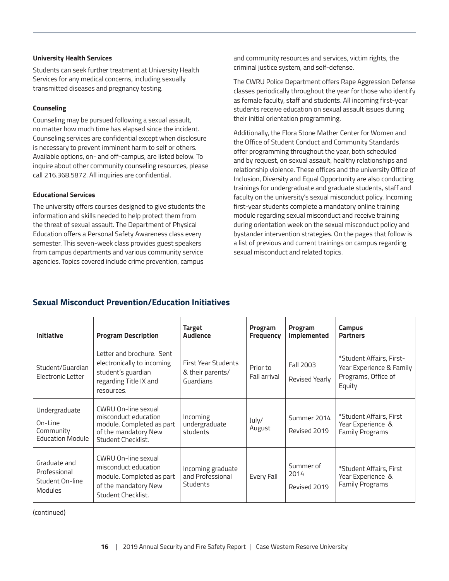#### **University Health Services**

Students can seek further treatment at University Health Services for any medical concerns, including sexually transmitted diseases and pregnancy testing.

#### **Counseling**

Counseling may be pursued following a sexual assault, no matter how much time has elapsed since the incident. Counseling services are confidential except when disclosure is necessary to prevent imminent harm to self or others. Available options, on- and off-campus, are listed below. To inquire about other community counseling resources, please call 216.368.5872. All inquiries are confidential.

#### **Educational Services**

The university offers courses designed to give students the information and skills needed to help protect them from the threat of sexual assault. The Department of Physical Education offers a Personal Safety Awareness class every semester. This seven-week class provides guest speakers from campus departments and various community service agencies. Topics covered include crime prevention, campus

and community resources and services, victim rights, the criminal justice system, and self-defense.

The CWRU Police Department offers Rape Aggression Defense classes periodically throughout the year for those who identify as female faculty, staff and students. All incoming first-year students receive education on sexual assault issues during their initial orientation programming.

Additionally, the Flora Stone Mather Center for Women and the Office of Student Conduct and Community Standards offer programming throughout the year, both scheduled and by request, on sexual assault, healthy relationships and relationship violence. These offices and the university Office of Inclusion, Diversity and Equal Opportunity are also conducting trainings for undergraduate and graduate students, staff and faculty on the university's sexual misconduct policy. Incoming first-year students complete a mandatory online training module regarding sexual misconduct and receive training during orientation week on the sexual misconduct policy and bystander intervention strategies. On the pages that follow is a list of previous and current trainings on campus regarding sexual misconduct and related topics.

# **Sexual Misconduct Prevention/Education Initiatives**

| <b>Initiative</b>                                                 | <b>Program Description</b>                                                                                             | <b>Target</b><br><b>Audience</b>                         | Program<br><b>Frequency</b> | Program<br>Implemented            | Campus<br><b>Partners</b>                                                             |
|-------------------------------------------------------------------|------------------------------------------------------------------------------------------------------------------------|----------------------------------------------------------|-----------------------------|-----------------------------------|---------------------------------------------------------------------------------------|
| Student/Guardian<br>Electronic Letter                             | Letter and brochure. Sent<br>electronically to incoming<br>student's guardian<br>regarding Title IX and<br>resources.  | First Year Students<br>& their parents/<br>Guardians     | Prior to<br>Fall arrival    | Fall 2003<br>Revised Yearly       | *Student Affairs, First-<br>Year Experience & Family<br>Programs, Office of<br>Equity |
| Undergraduate<br>On-Line<br>Community<br><b>Education Module</b>  | CWRU On-line sexual<br>misconduct education<br>module. Completed as part<br>of the mandatory New<br>Student Checklist. | Incoming<br>undergraduate<br>students                    | July/<br>August             | Summer 2014<br>Revised 2019       | *Student Affairs, First<br>Year Experience &<br><b>Family Programs</b>                |
| Graduate and<br>Professional<br>Student On-line<br><b>Modules</b> | CWRU On-line sexual<br>misconduct education<br>module. Completed as part<br>of the mandatory New<br>Student Checklist. | Incoming graduate<br>and Professional<br><b>Students</b> | Every Fall                  | Summer of<br>2014<br>Revised 2019 | *Student Affairs, First<br>Year Experience &<br><b>Family Programs</b>                |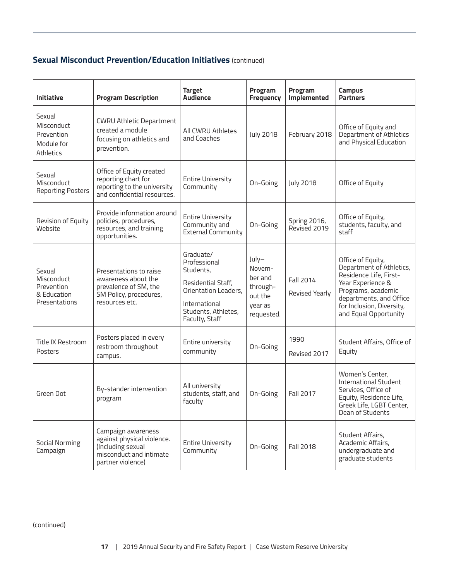# **Sexual Misconduct Prevention/Education Initiatives** (continued)

| <b>Initiative</b>                                                  | <b>Program Description</b>                                                                                            | <b>Target</b><br><b>Audience</b>                                                                                                               | Program<br><b>Frequency</b>                                                | Program<br>Implemented       | <b>Campus</b><br><b>Partners</b>                                                                                                                                                                    |
|--------------------------------------------------------------------|-----------------------------------------------------------------------------------------------------------------------|------------------------------------------------------------------------------------------------------------------------------------------------|----------------------------------------------------------------------------|------------------------------|-----------------------------------------------------------------------------------------------------------------------------------------------------------------------------------------------------|
| Sexual<br>Misconduct<br>Prevention<br>Module for<br>Athletics      | <b>CWRU Athletic Department</b><br>created a module<br>focusing on athletics and<br>prevention.                       | All CWRU Athletes<br>and Coaches                                                                                                               | <b>July 2018</b>                                                           | February 2018                | Office of Equity and<br>Department of Athletics<br>and Physical Education                                                                                                                           |
| Sexual<br>Misconduct<br><b>Reporting Posters</b>                   | Office of Equity created<br>reporting chart for<br>reporting to the university<br>and confidential resources.         | <b>Entire University</b><br>Community                                                                                                          | On-Going                                                                   | <b>July 2018</b>             | Office of Equity                                                                                                                                                                                    |
| Revision of Equity<br>Website                                      | Provide information around<br>policies, procedures,<br>resources, and training<br>opportunities.                      | <b>Entire University</b><br>Community and<br><b>External Community</b>                                                                         | On-Going                                                                   | Spring 2016,<br>Revised 2019 | Office of Equity,<br>students, faculty, and<br>staff                                                                                                                                                |
| Sexual<br>Misconduct<br>Prevention<br>& Education<br>Presentations | Presentations to raise<br>awareness about the<br>prevalence of SM, the<br>SM Policy, procedures,<br>resources etc.    | Graduate/<br>Professional<br>Students,<br>Residential Staff,<br>Orientation Leaders,<br>International<br>Students, Athletes,<br>Faculty, Staff | July-<br>Novem-<br>ber and<br>through-<br>out the<br>year as<br>requested. | Fall 2014<br>Revised Yearly  | Office of Equity,<br>Department of Athletics,<br>Residence Life, First-<br>Year Experience &<br>Programs, academic<br>departments, and Office<br>for Inclusion, Diversity,<br>and Equal Opportunity |
| Title IX Restroom<br>Posters                                       | Posters placed in every<br>restroom throughout<br>campus.                                                             | Entire university<br>community                                                                                                                 | On-Going                                                                   | 1990<br>Revised 2017         | Student Affairs, Office of<br>Equity                                                                                                                                                                |
| Green Dot                                                          | By-stander intervention<br>program                                                                                    | All university<br>students, staff, and<br>faculty                                                                                              | On-Going                                                                   | <b>Fall 2017</b>             | Women's Center,<br><b>International Student</b><br>Services, Office of<br>Equity, Residence Life,<br>Greek Life, LGBT Center,<br>Dean of Students                                                   |
| <b>Social Norming</b><br>Campaign                                  | Campaign awareness<br>against physical violence.<br>(Including sexual<br>misconduct and intimate<br>partner violence) | <b>Entire University</b><br>Community                                                                                                          | On-Going                                                                   | <b>Fall 2018</b>             | Student Affairs,<br>Academic Affairs,<br>undergraduate and<br>graduate students                                                                                                                     |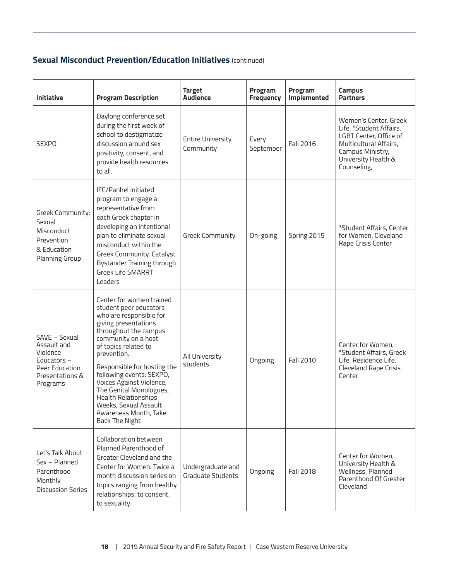# **Sexual Misconduct Prevention/Education Initiatives** (continued)

| <b>Initiative</b>                                                                                          | <b>Program Description</b>                                                                                                                                                                                                                                                                                                                                                                                        | <b>Target</b><br><b>Audience</b>              | Program<br><b>Frequency</b> | Program<br>Implemented | <b>Campus</b><br><b>Partners</b>                                                                                                                               |
|------------------------------------------------------------------------------------------------------------|-------------------------------------------------------------------------------------------------------------------------------------------------------------------------------------------------------------------------------------------------------------------------------------------------------------------------------------------------------------------------------------------------------------------|-----------------------------------------------|-----------------------------|------------------------|----------------------------------------------------------------------------------------------------------------------------------------------------------------|
| <b>SEXPO</b>                                                                                               | Daylong conference set<br>during the first week of<br>school to destigmatize<br>discussion around sex<br>positivity, consent, and<br>provide health resources<br>to all.                                                                                                                                                                                                                                          | <b>Entire University</b><br>Community         | Every<br>September          | Fall 2016              | Women's Center, Greek<br>Life, *Student Affairs,<br>LGBT Center, Office of<br>Multicultural Affairs,<br>Campus Ministry,<br>University Health &<br>Counseling, |
| Greek Community:<br>Sexual<br>Misconduct<br>Prevention<br>& Education<br>Planning Group                    | <b>IFC/Panhel initiated</b><br>program to engage a<br>representative from<br>each Greek chapter in<br>developing an intentional<br>plan to eliminate sexual<br>misconduct within the<br>Greek Community. Catalyst<br>Bystander Training through<br><b>Greek Life SMARRT</b><br>Leaders                                                                                                                            | Greek Community                               | On-going                    | Spring 2015            | *Student Affairs, Center<br>for Women, Cleveland<br>Rape Crisis Center                                                                                         |
| SAVE - Sexual<br>Assault and<br>Violence<br>Educators $-$<br>Peer Education<br>Presentations &<br>Programs | Center for women trained<br>student peer educators<br>who are responsible for<br>giving presentations<br>throughout the campus<br>community on a host<br>of topics related to<br>prevention.<br>Responsible for hosting the<br>following events: SEXPO,<br>Voices Against Violence,<br>The Genital Monologues,<br>Health Relationships<br>Weeks, Sexual Assault<br>Awareness Month, Take<br><b>Back The Night</b> | All University<br>students                    | Ongoing                     | <b>Fall 2010</b>       | Center for Women,<br>*Student Affairs, Greek<br>Life, Residence Life,<br>Cleveland Rape Crisis<br>Center                                                       |
| Let's Talk About<br>Sex - Planned<br>Parenthood<br>Monthly<br><b>Discussion Series</b>                     | Collaboration between<br>Planned Parenthood of<br>Greater Cleveland and the<br>Center for Women. Twice a<br>month discussion series on<br>topics ranging from healthy<br>relationships, to consent,<br>to sexuality.                                                                                                                                                                                              | Undergraduate and<br><b>Graduate Students</b> | Ongoing                     | Fall 2018              | Center for Women,<br>University Health &<br>Wellness, Planned<br>Parenthood Of Greater<br>Cleveland                                                            |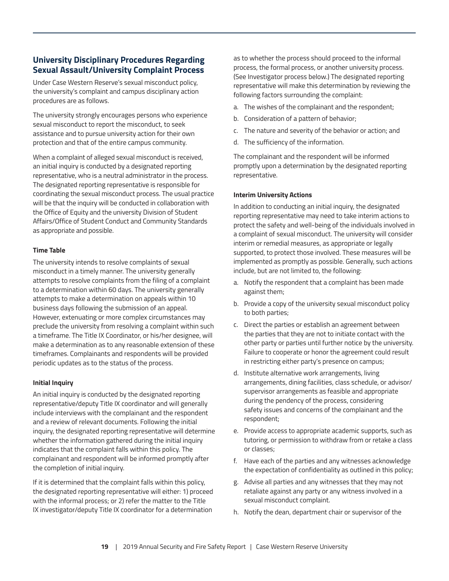# **University Disciplinary Procedures Regarding Sexual Assault/University Complaint Process**

Under Case Western Reserve's sexual misconduct policy, the university's complaint and campus disciplinary action procedures are as follows.

The university strongly encourages persons who experience sexual misconduct to report the misconduct, to seek assistance and to pursue university action for their own protection and that of the entire campus community.

When a complaint of alleged sexual misconduct is received, an initial inquiry is conducted by a designated reporting representative, who is a neutral administrator in the process. The designated reporting representative is responsible for coordinating the sexual misconduct process. The usual practice will be that the inquiry will be conducted in collaboration with the Office of Equity and the university Division of Student Affairs/Office of Student Conduct and Community Standards as appropriate and possible.

#### **Time Table**

The university intends to resolve complaints of sexual misconduct in a timely manner. The university generally attempts to resolve complaints from the filing of a complaint to a determination within 60 days. The university generally attempts to make a determination on appeals within 10 business days following the submission of an appeal. However, extenuating or more complex circumstances may preclude the university from resolving a complaint within such a timeframe. The Title IX Coordinator, or his/her designee, will make a determination as to any reasonable extension of these timeframes. Complainants and respondents will be provided periodic updates as to the status of the process.

#### **Initial Inquiry**

An initial inquiry is conducted by the designated reporting representative/deputy Title IX coordinator and will generally include interviews with the complainant and the respondent and a review of relevant documents. Following the initial inquiry, the designated reporting representative will determine whether the information gathered during the initial inquiry indicates that the complaint falls within this policy. The complainant and respondent will be informed promptly after the completion of initial inquiry.

If it is determined that the complaint falls within this policy, the designated reporting representative will either: 1) proceed with the informal process; or 2) refer the matter to the Title IX investigator/deputy Title IX coordinator for a determination

as to whether the process should proceed to the informal process, the formal process, or another university process. (See Investigator process below.) The designated reporting representative will make this determination by reviewing the following factors surrounding the complaint:

- a. The wishes of the complainant and the respondent;
- b. Consideration of a pattern of behavior;
- c. The nature and severity of the behavior or action; and
- d. The sufficiency of the information.

The complainant and the respondent will be informed promptly upon a determination by the designated reporting representative.

#### **Interim University Actions**

In addition to conducting an initial inquiry, the designated reporting representative may need to take interim actions to protect the safety and well-being of the individuals involved in a complaint of sexual misconduct. The university will consider interim or remedial measures, as appropriate or legally supported, to protect those involved. These measures will be implemented as promptly as possible. Generally, such actions include, but are not limited to, the following:

- a. Notify the respondent that a complaint has been made against them;
- b. Provide a copy of the university sexual misconduct policy to both parties;
- c. Direct the parties or establish an agreement between the parties that they are not to initiate contact with the other party or parties until further notice by the university. Failure to cooperate or honor the agreement could result in restricting either party's presence on campus;
- d. Institute alternative work arrangements, living arrangements, dining facilities, class schedule, or advisor/ supervisor arrangements as feasible and appropriate during the pendency of the process, considering safety issues and concerns of the complainant and the respondent;
- e. Provide access to appropriate academic supports, such as tutoring, or permission to withdraw from or retake a class or classes;
- f. Have each of the parties and any witnesses acknowledge the expectation of confidentiality as outlined in this policy;
- g. Advise all parties and any witnesses that they may not retaliate against any party or any witness involved in a sexual misconduct complaint.
- h. Notify the dean, department chair or supervisor of the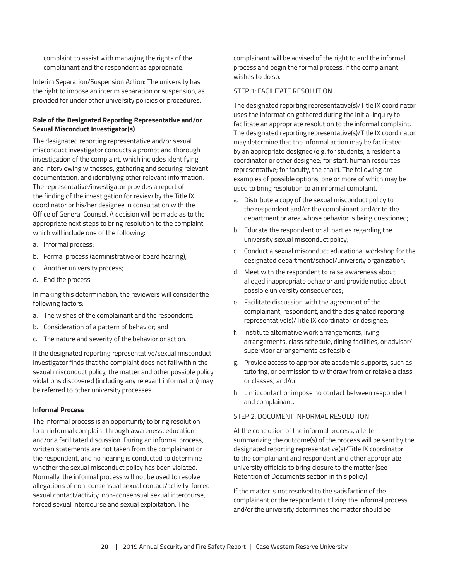<span id="page-19-0"></span>complaint to assist with managing the rights of the complainant and the respondent as appropriate.

Interim Separation/Suspension Action: The university has the right to impose an interim separation or suspension, as provided for under other university policies or procedures.

#### **Role of the Designated Reporting Representative and/or Sexual Misconduct Investigator(s)**

The designated reporting representative and/or sexual misconduct investigator conducts a prompt and thorough investigation of the complaint, which includes identifying and interviewing witnesses, gathering and securing relevant documentation, and identifying other relevant information. The representative/investigator provides a report of the finding of the investigation for review by the Title IX coordinator or his/her designee in consultation with the Office of General Counsel. A decision will be made as to the appropriate next steps to bring resolution to the complaint, which will include one of the following:

- a. Informal process;
- b. Formal process (administrative or board hearing);
- c. Another university process;
- d. End the process.

In making this determination, the reviewers will consider the following factors:

- a. The wishes of the complainant and the respondent;
- b. Consideration of a pattern of behavior; and
- c. The nature and severity of the behavior or action.

If the designated reporting representative/sexual misconduct investigator finds that the complaint does not fall within the sexual misconduct policy, the matter and other possible policy violations discovered (including any relevant information) may be referred to other university processes.

#### **Informal Process**

The informal process is an opportunity to bring resolution to an informal complaint through awareness, education, and/or a facilitated discussion. During an informal process, written statements are not taken from the complainant or the respondent, and no hearing is conducted to determine whether the sexual misconduct policy has been violated. Normally, the informal process will not be used to resolve allegations of non-consensual sexual contact/activity, forced sexual contact/activity, non-consensual sexual intercourse, forced sexual intercourse and sexual exploitation. The

complainant will be advised of the right to end the informal process and begin the formal process, if the complainant wishes to do so.

#### STEP 1: FACILITATE RESOLUTION

The designated reporting representative(s)/Title IX coordinator uses the information gathered during the initial inquiry to facilitate an appropriate resolution to the informal complaint. The designated reporting representative(s)/Title IX coordinator may determine that the informal action may be facilitated by an appropriate designee (e.g. for students, a residential coordinator or other designee; for staff, human resources representative; for faculty, the chair). The following are examples of possible options, one or more of which may be used to bring resolution to an informal complaint.

- a. Distribute a copy of the sexual misconduct policy to the respondent and/or the complainant and/or to the department or area whose behavior is being questioned;
- b. Educate the respondent or all parties regarding the university sexual misconduct policy;
- c. Conduct a sexual misconduct educational workshop for the designated department/school/university organization;
- d. Meet with the respondent to raise awareness about alleged inappropriate behavior and provide notice about possible university consequences;
- e. Facilitate discussion with the agreement of the complainant, respondent, and the designated reporting representative(s)/Title IX coordinator or designee;
- f. Institute alternative work arrangements, living arrangements, class schedule, dining facilities, or advisor/ supervisor arrangements as feasible;
- g. Provide access to appropriate academic supports, such as tutoring, or permission to withdraw from or retake a class or classes; and/or
- h. Limit contact or impose no contact between respondent and complainant.

#### STEP 2: DOCUMENT INFORMAL RESOLUTION

At the conclusion of the informal process, a letter summarizing the outcome(s) of the process will be sent by the designated reporting representative(s)/Title IX coordinator to the complainant and respondent and other appropriate university officials to bring closure to the matter (see Retention of Documents section in this policy).

If the matter is not resolved to the satisfaction of the complainant or the respondent utilizing the informal process, and/or the university determines the matter should be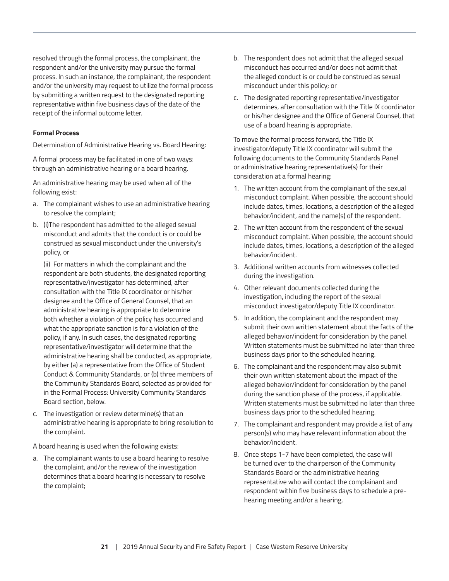resolved through the formal process, the complainant, the respondent and/or the university may pursue the formal process. In such an instance, the complainant, the respondent and/or the university may request to utilize the formal process by submitting a written request to the designated reporting representative within five business days of the date of the receipt of the informal outcome letter.

#### **Formal Process**

Determination of Administrative Hearing vs. Board Hearing:

A formal process may be facilitated in one of two ways: through an administrative hearing or a board hearing.

An administrative hearing may be used when all of the following exist:

- a. The complainant wishes to use an administrative hearing to resolve the complaint;
- b. (i)The respondent has admitted to the alleged sexual misconduct and admits that the conduct is or could be construed as sexual misconduct under the university's policy, or

(ii) For matters in which the complainant and the respondent are both students, the designated reporting representative/investigator has determined, after consultation with the Title IX coordinator or his/her designee and the Office of General Counsel, that an administrative hearing is appropriate to determine both whether a violation of the policy has occurred and what the appropriate sanction is for a violation of the policy, if any. In such cases, the designated reporting representative/investigator will determine that the administrative hearing shall be conducted, as appropriate, by either (a) a representative from the Office of Student Conduct & Community Standards, or (b) three members of the Community Standards Board, selected as provided for in the Formal Process: University Community Standards Board section, below.

c. The investigation or review determine(s) that an administrative hearing is appropriate to bring resolution to the complaint.

A board hearing is used when the following exists:

a. The complainant wants to use a board hearing to resolve the complaint, and/or the review of the investigation determines that a board hearing is necessary to resolve the complaint;

- b. The respondent does not admit that the alleged sexual misconduct has occurred and/or does not admit that the alleged conduct is or could be construed as sexual misconduct under this policy; or
- c. The designated reporting representative/investigator determines, after consultation with the Title IX coordinator or his/her designee and the Office of General Counsel, that use of a board hearing is appropriate.

To move the formal process forward, the Title IX investigator/deputy Title IX coordinator will submit the following documents to the Community Standards Panel or administrative hearing representative(s) for their consideration at a formal hearing:

- 1. The written account from the complainant of the sexual misconduct complaint. When possible, the account should include dates, times, locations, a description of the alleged behavior/incident, and the name(s) of the respondent.
- 2. The written account from the respondent of the sexual misconduct complaint. When possible, the account should include dates, times, locations, a description of the alleged behavior/incident.
- 3. Additional written accounts from witnesses collected during the investigation.
- 4. Other relevant documents collected during the investigation, including the report of the sexual misconduct investigator/deputy Title IX coordinator.
- 5. In addition, the complainant and the respondent may submit their own written statement about the facts of the alleged behavior/incident for consideration by the panel. Written statements must be submitted no later than three business days prior to the scheduled hearing.
- 6. The complainant and the respondent may also submit their own written statement about the impact of the alleged behavior/incident for consideration by the panel during the sanction phase of the process, if applicable. Written statements must be submitted no later than three business days prior to the scheduled hearing.
- 7. The complainant and respondent may provide a list of any person(s) who may have relevant information about the behavior/incident.
- 8. Once steps 1-7 have been completed, the case will be turned over to the chairperson of the Community Standards Board or the administrative hearing representative who will contact the complainant and respondent within five business days to schedule a prehearing meeting and/or a hearing.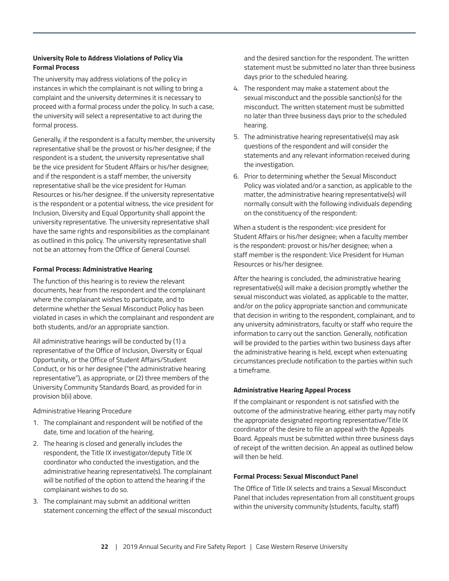#### **University Role to Address Violations of Policy Via Formal Process**

The university may address violations of the policy in instances in which the complainant is not willing to bring a complaint and the university determines it is necessary to proceed with a formal process under the policy. In such a case, the university will select a representative to act during the formal process.

Generally, if the respondent is a faculty member, the university representative shall be the provost or his/her designee; if the respondent is a student, the university representative shall be the vice president for Student Affairs or his/her designee; and if the respondent is a staff member, the university representative shall be the vice president for Human Resources or his/her designee. If the university representative is the respondent or a potential witness, the vice president for Inclusion, Diversity and Equal Opportunity shall appoint the university representative. The university representative shall have the same rights and responsibilities as the complainant as outlined in this policy. The university representative shall not be an attorney from the Office of General Counsel.

#### **Formal Process: Administrative Hearing**

The function of this hearing is to review the relevant documents, hear from the respondent and the complainant where the complainant wishes to participate, and to determine whether the Sexual Misconduct Policy has been violated in cases in which the complainant and respondent are both students, and/or an appropriate sanction.

All administrative hearings will be conducted by (1) a representative of the Office of Inclusion, Diversity or Equal Opportunity, or the Office of Student Affairs/Student Conduct, or his or her designee ("the administrative hearing representative"), as appropriate, or (2) three members of the University Community Standards Board, as provided for in provision b(ii) above.

Administrative Hearing Procedure

- 1. The complainant and respondent will be notified of the date, time and location of the hearing.
- 2. The hearing is closed and generally includes the respondent, the Title IX investigator/deputy Title IX coordinator who conducted the investigation, and the administrative hearing representative(s). The complainant will be notified of the option to attend the hearing if the complainant wishes to do so.
- 3. The complainant may submit an additional written statement concerning the effect of the sexual misconduct

and the desired sanction for the respondent. The written statement must be submitted no later than three business days prior to the scheduled hearing.

- 4. The respondent may make a statement about the sexual misconduct and the possible sanction(s) for the misconduct. The written statement must be submitted no later than three business days prior to the scheduled hearing.
- 5. The administrative hearing representative(s) may ask questions of the respondent and will consider the statements and any relevant information received during the investigation.
- 6. Prior to determining whether the Sexual Misconduct Policy was violated and/or a sanction, as applicable to the matter, the administrative hearing representative(s) will normally consult with the following individuals depending on the constituency of the respondent:

When a student is the respondent: vice president for Student Affairs or his/her designee; when a faculty member is the respondent: provost or his/her designee; when a staff member is the respondent: Vice President for Human Resources or his/her designee.

After the hearing is concluded, the administrative hearing representative(s) will make a decision promptly whether the sexual misconduct was violated, as applicable to the matter, and/or on the policy appropriate sanction and communicate that decision in writing to the respondent, complainant, and to any university administrators, faculty or staff who require the information to carry out the sanction. Generally, notification will be provided to the parties within two business days after the administrative hearing is held, except when extenuating circumstances preclude notification to the parties within such a timeframe.

#### **Administrative Hearing Appeal Process**

If the complainant or respondent is not satisfied with the outcome of the administrative hearing, either party may notify the appropriate designated reporting representative/Title IX coordinator of the desire to file an appeal with the Appeals Board. Appeals must be submitted within three business days of receipt of the written decision. An appeal as outlined below will then be held.

#### **Formal Process: Sexual Misconduct Panel**

The Office of Title IX selects and trains a Sexual Misconduct Panel that includes representation from all constituent groups within the university community (students, faculty, staff)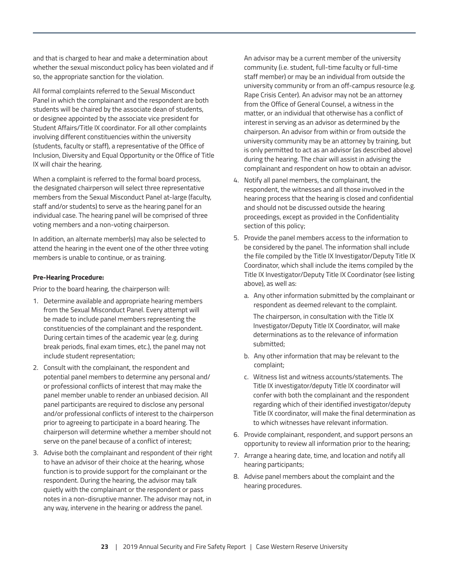and that is charged to hear and make a determination about whether the sexual misconduct policy has been violated and if so, the appropriate sanction for the violation.

All formal complaints referred to the Sexual Misconduct Panel in which the complainant and the respondent are both students will be chaired by the associate dean of students, or designee appointed by the associate vice president for Student Affairs/Title IX coordinator. For all other complaints involving different constituencies within the university (students, faculty or staff), a representative of the Office of Inclusion, Diversity and Equal Opportunity or the Office of Title IX will chair the hearing.

When a complaint is referred to the formal board process, the designated chairperson will select three representative members from the Sexual Misconduct Panel at-large (faculty, staff and/or students) to serve as the hearing panel for an individual case. The hearing panel will be comprised of three voting members and a non-voting chairperson.

In addition, an alternate member(s) may also be selected to attend the hearing in the event one of the other three voting members is unable to continue, or as training.

#### **Pre-Hearing Procedure:**

Prior to the board hearing, the chairperson will:

- 1. Determine available and appropriate hearing members from the Sexual Misconduct Panel. Every attempt will be made to include panel members representing the constituencies of the complainant and the respondent. During certain times of the academic year (e.g. during break periods, final exam times, etc.), the panel may not include student representation;
- 2. Consult with the complainant, the respondent and potential panel members to determine any personal and/ or professional conflicts of interest that may make the panel member unable to render an unbiased decision. All panel participants are required to disclose any personal and/or professional conflicts of interest to the chairperson prior to agreeing to participate in a board hearing. The chairperson will determine whether a member should not serve on the panel because of a conflict of interest;
- 3. Advise both the complainant and respondent of their right to have an advisor of their choice at the hearing, whose function is to provide support for the complainant or the respondent. During the hearing, the advisor may talk quietly with the complainant or the respondent or pass notes in a non-disruptive manner. The advisor may not, in any way, intervene in the hearing or address the panel.

An advisor may be a current member of the university community (i.e. student, full-time faculty or full-time staff member) or may be an individual from outside the university community or from an off-campus resource (e.g. Rape Crisis Center). An advisor may not be an attorney from the Office of General Counsel, a witness in the matter, or an individual that otherwise has a conflict of interest in serving as an advisor as determined by the chairperson. An advisor from within or from outside the university community may be an attorney by training, but is only permitted to act as an advisor (as described above) during the hearing. The chair will assist in advising the complainant and respondent on how to obtain an advisor.

- 4. Notify all panel members, the complainant, the respondent, the witnesses and all those involved in the hearing process that the hearing is closed and confidential and should not be discussed outside the hearing proceedings, except as provided in the Confidentiality section of this policy;
- 5. Provide the panel members access to the information to be considered by the panel. The information shall include the file compiled by the Title IX Investigator/Deputy Title IX Coordinator, which shall include the items compiled by the Title IX Investigator/Deputy Title IX Coordinator (see listing above), as well as:
	- a. Any other information submitted by the complainant or respondent as deemed relevant to the complaint.

 The chairperson, in consultation with the Title IX Investigator/Deputy Title IX Coordinator, will make determinations as to the relevance of information submitted;

- b. Any other information that may be relevant to the complaint;
- c. Witness list and witness accounts/statements. The Title IX investigator/deputy Title IX coordinator will confer with both the complainant and the respondent regarding which of their identified investigator/deputy Title IX coordinator, will make the final determination as to which witnesses have relevant information.
- 6. Provide complainant, respondent, and support persons an opportunity to review all information prior to the hearing;
- 7. Arrange a hearing date, time, and location and notify all hearing participants;
- 8. Advise panel members about the complaint and the hearing procedures.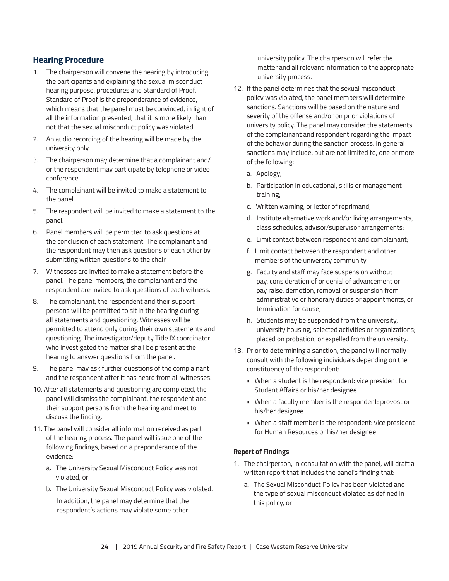# **Hearing Procedure**

- 1. The chairperson will convene the hearing by introducing the participants and explaining the sexual misconduct hearing purpose, procedures and Standard of Proof. Standard of Proof is the preponderance of evidence, which means that the panel must be convinced, in light of all the information presented, that it is more likely than not that the sexual misconduct policy was violated.
- 2. An audio recording of the hearing will be made by the university only.
- 3. The chairperson may determine that a complainant and/ or the respondent may participate by telephone or video conference.
- 4. The complainant will be invited to make a statement to the panel.
- 5. The respondent will be invited to make a statement to the panel.
- 6. Panel members will be permitted to ask questions at the conclusion of each statement. The complainant and the respondent may then ask questions of each other by submitting written questions to the chair.
- 7. Witnesses are invited to make a statement before the panel. The panel members, the complainant and the respondent are invited to ask questions of each witness.
- 8. The complainant, the respondent and their support persons will be permitted to sit in the hearing during all statements and questioning. Witnesses will be permitted to attend only during their own statements and questioning. The investigator/deputy Title IX coordinator who investigated the matter shall be present at the hearing to answer questions from the panel.
- 9. The panel may ask further questions of the complainant and the respondent after it has heard from all witnesses.
- 10. After all statements and questioning are completed, the panel will dismiss the complainant, the respondent and their support persons from the hearing and meet to discuss the finding.
- 11. The panel will consider all information received as part of the hearing process. The panel will issue one of the following findings, based on a preponderance of the evidence:
	- a. The University Sexual Misconduct Policy was not violated, or
	- b. The University Sexual Misconduct Policy was violated.

 In addition, the panel may determine that the respondent's actions may violate some other

university policy. The chairperson will refer the matter and all relevant information to the appropriate university process.

- 12. If the panel determines that the sexual misconduct policy was violated, the panel members will determine sanctions. Sanctions will be based on the nature and severity of the offense and/or on prior violations of university policy. The panel may consider the statements of the complainant and respondent regarding the impact of the behavior during the sanction process. In general sanctions may include, but are not limited to, one or more of the following:
	- a. Apology;
	- b. Participation in educational, skills or management training;
	- c. Written warning, or letter of reprimand;
	- d. Institute alternative work and/or living arrangements, class schedules, advisor/supervisor arrangements;
	- e. Limit contact between respondent and complainant;
	- f. Limit contact between the respondent and other members of the university community
	- g. Faculty and staff may face suspension without pay, consideration of or denial of advancement or pay raise, demotion, removal or suspension from administrative or honorary duties or appointments, or termination for cause;
	- h. Students may be suspended from the university, university housing, selected activities or organizations; placed on probation; or expelled from the university.
- 13. Prior to determining a sanction, the panel will normally consult with the following individuals depending on the constituency of the respondent:
	- When a student is the respondent: vice president for Student Affairs or his/her designee
	- When a faculty member is the respondent: provost or his/her designee
	- When a staff member is the respondent: vice president for Human Resources or his/her designee

#### **Report of Findings**

- 1. The chairperson, in consultation with the panel, will draft a written report that includes the panel's finding that:
	- a. The Sexual Misconduct Policy has been violated and the type of sexual misconduct violated as defined in this policy, or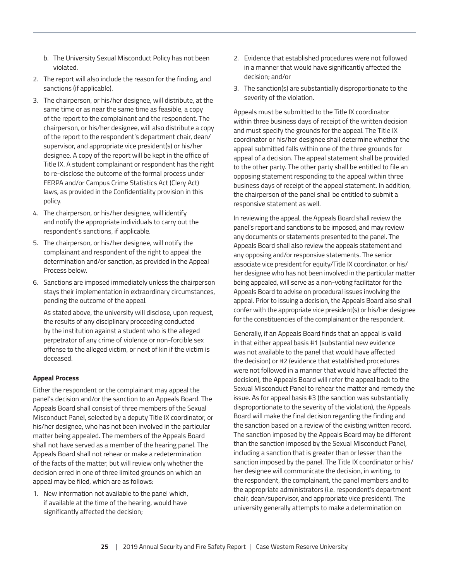- b. The University Sexual Misconduct Policy has not been violated.
- 2. The report will also include the reason for the finding, and sanctions (if applicable).
- 3. The chairperson, or his/her designee, will distribute, at the same time or as near the same time as feasible, a copy of the report to the complainant and the respondent. The chairperson, or his/her designee, will also distribute a copy of the report to the respondent's department chair, dean/ supervisor, and appropriate vice president(s) or his/her designee. A copy of the report will be kept in the office of Title IX. A student complainant or respondent has the right to re-disclose the outcome of the formal process under FERPA and/or Campus Crime Statistics Act (Clery Act) laws, as provided in the Confidentiality provision in this policy.
- 4. The chairperson, or his/her designee, will identify and notify the appropriate individuals to carry out the respondent's sanctions, if applicable.
- 5. The chairperson, or his/her designee, will notify the complainant and respondent of the right to appeal the determination and/or sanction, as provided in the Appeal Process below.
- 6. Sanctions are imposed immediately unless the chairperson stays their implementation in extraordinary circumstances, pending the outcome of the appeal.

As stated above, the university will disclose, upon request, the results of any disciplinary proceeding conducted by the institution against a student who is the alleged perpetrator of any crime of violence or non-forcible sex offense to the alleged victim, or next of kin if the victim is deceased.

#### **Appeal Process**

Either the respondent or the complainant may appeal the panel's decision and/or the sanction to an Appeals Board. The Appeals Board shall consist of three members of the Sexual Misconduct Panel, selected by a deputy Title IX coordinator, or his/her designee, who has not been involved in the particular matter being appealed. The members of the Appeals Board shall not have served as a member of the hearing panel. The Appeals Board shall not rehear or make a redetermination of the facts of the matter, but will review only whether the decision erred in one of three limited grounds on which an appeal may be filed, which are as follows:

1. New information not available to the panel which, if available at the time of the hearing, would have significantly affected the decision;

- 2. Evidence that established procedures were not followed in a manner that would have significantly affected the decision; and/or
- 3. The sanction(s) are substantially disproportionate to the severity of the violation.

Appeals must be submitted to the Title IX coordinator within three business days of receipt of the written decision and must specify the grounds for the appeal. The Title IX coordinator or his/her designee shall determine whether the appeal submitted falls within one of the three grounds for appeal of a decision. The appeal statement shall be provided to the other party. The other party shall be entitled to file an opposing statement responding to the appeal within three business days of receipt of the appeal statement. In addition, the chairperson of the panel shall be entitled to submit a responsive statement as well.

In reviewing the appeal, the Appeals Board shall review the panel's report and sanctions to be imposed, and may review any documents or statements presented to the panel. The Appeals Board shall also review the appeals statement and any opposing and/or responsive statements. The senior associate vice president for equity/Title IX coordinator, or his/ her designee who has not been involved in the particular matter being appealed, will serve as a non-voting facilitator for the Appeals Board to advise on procedural issues involving the appeal. Prior to issuing a decision, the Appeals Board also shall confer with the appropriate vice president(s) or his/her designee for the constituencies of the complainant or the respondent.

Generally, if an Appeals Board finds that an appeal is valid in that either appeal basis #1 (substantial new evidence was not available to the panel that would have affected the decision) or #2 (evidence that established procedures were not followed in a manner that would have affected the decision), the Appeals Board will refer the appeal back to the Sexual Misconduct Panel to rehear the matter and remedy the issue. As for appeal basis #3 (the sanction was substantially disproportionate to the severity of the violation), the Appeals Board will make the final decision regarding the finding and the sanction based on a review of the existing written record. The sanction imposed by the Appeals Board may be different than the sanction imposed by the Sexual Misconduct Panel, including a sanction that is greater than or lesser than the sanction imposed by the panel. The Title IX coordinator or his/ her designee will communicate the decision, in writing, to the respondent, the complainant, the panel members and to the appropriate administrators (i.e. respondent's department chair, dean/supervisor, and appropriate vice president). The university generally attempts to make a determination on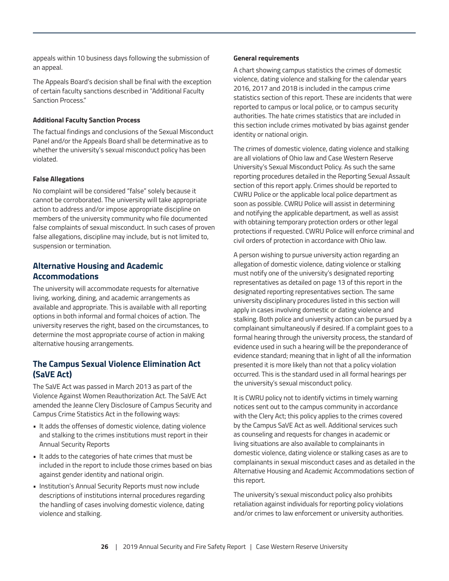appeals within 10 business days following the submission of an appeal.

The Appeals Board's decision shall be final with the exception of certain faculty sanctions described in "Additional Faculty Sanction Process."

#### **Additional Faculty Sanction Process**

The factual findings and conclusions of the Sexual Misconduct Panel and/or the Appeals Board shall be determinative as to whether the university's sexual misconduct policy has been violated.

#### **False Allegations**

No complaint will be considered "false" solely because it cannot be corroborated. The university will take appropriate action to address and/or impose appropriate discipline on members of the university community who file documented false complaints of sexual misconduct. In such cases of proven false allegations, discipline may include, but is not limited to, suspension or termination.

## **Alternative Housing and Academic Accommodations**

The university will accommodate requests for alternative living, working, dining, and academic arrangements as available and appropriate. This is available with all reporting options in both informal and formal choices of action. The university reserves the right, based on the circumstances, to determine the most appropriate course of action in making alternative housing arrangements.

# **The Campus Sexual Violence Elimination Act (SaVE Act)**

The SaVE Act was passed in March 2013 as part of the Violence Against Women Reauthorization Act. The SaVE Act amended the Jeanne Clery Disclosure of Campus Security and Campus Crime Statistics Act in the following ways:

- It adds the offenses of domestic violence, dating violence and stalking to the crimes institutions must report in their Annual Security Reports
- It adds to the categories of hate crimes that must be included in the report to include those crimes based on bias against gender identity and national origin.
- Institution's Annual Security Reports must now include descriptions of institutions internal procedures regarding the handling of cases involving domestic violence, dating violence and stalking.

#### **General requirements**

A chart showing campus statistics the crimes of domestic violence, dating violence and stalking for the calendar years 2016, 2017 and 2018 is included in the campus crime statistics section of this report. These are incidents that were reported to campus or local police, or to campus security authorities. The hate crimes statistics that are included in this section include crimes motivated by bias against gender identity or national origin.

The crimes of domestic violence, dating violence and stalking are all violations of Ohio law and Case Western Reserve University's Sexual Misconduct Policy. As such the same reporting procedures detailed in the Reporting Sexual Assault section of this report apply. Crimes should be reported to CWRU Police or the applicable local police department as soon as possible. CWRU Police will assist in determining and notifying the applicable department, as well as assist with obtaining temporary protection orders or other legal protections if requested. CWRU Police will enforce criminal and civil orders of protection in accordance with Ohio law.

A person wishing to pursue university action regarding an allegation of domestic violence, dating violence or stalking must notify one of the university's designated reporting representatives as detailed on page 13 of this report in the designated reporting representatives section. The same university disciplinary procedures listed in this section will apply in cases involving domestic or dating violence and stalking. Both police and university action can be pursued by a complainant simultaneously if desired. If a complaint goes to a formal hearing through the university process, the standard of evidence used in such a hearing will be the preponderance of evidence standard; meaning that in light of all the information presented it is more likely than not that a policy violation occurred. This is the standard used in all formal hearings per the university's sexual misconduct policy.

It is CWRU policy not to identify victims in timely warning notices sent out to the campus community in accordance with the Clery Act; this policy applies to the crimes covered by the Campus SaVE Act as well. Additional services such as counseling and requests for changes in academic or living situations are also available to complainants in domestic violence, dating violence or stalking cases as are to complainants in sexual misconduct cases and as detailed in the Alternative Housing and Academic Accommodations section of this report.

The university's sexual misconduct policy also prohibits retaliation against individuals for reporting policy violations and/or crimes to law enforcement or university authorities.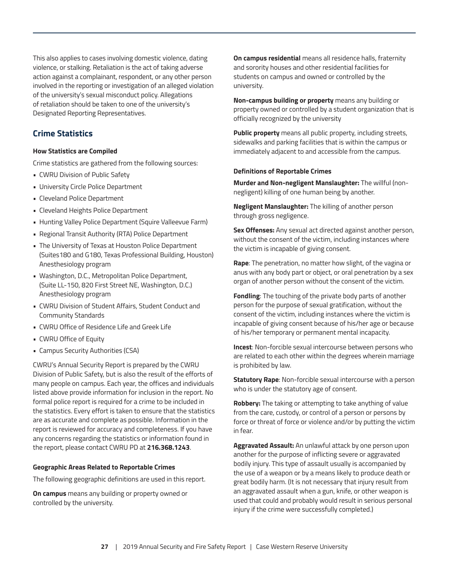This also applies to cases involving domestic violence, dating violence, or stalking. Retaliation is the act of taking adverse action against a complainant, respondent, or any other person involved in the reporting or investigation of an alleged violation of the university's sexual misconduct policy. Allegations of retaliation should be taken to one of the university's Designated Reporting Representatives.

# **Crime Statistics**

#### **How Statistics are Compiled**

Crime statistics are gathered from the following sources:

- CWRU Division of Public Safety
- University Circle Police Department
- Cleveland Police Department
- Cleveland Heights Police Department
- Hunting Valley Police Department (Squire Valleevue Farm)
- Regional Transit Authority (RTA) Police Department
- The University of Texas at Houston Police Department (Suites180 and G180, Texas Professional Building, Houston) Anesthesiology program
- Washington, D.C., Metropolitan Police Department, (Suite LL-150, 820 First Street NE, Washington, D.C.) Anesthesiology program
- CWRU Division of Student Affairs, Student Conduct and Community Standards
- CWRU Office of Residence Life and Greek Life
- CWRU Office of Equity
- Campus Security Authorities (CSA)

CWRU's Annual Security Report is prepared by the CWRU Division of Public Safety, but is also the result of the efforts of many people on campus. Each year, the offices and individuals listed above provide information for inclusion in the report. No formal police report is required for a crime to be included in the statistics. Every effort is taken to ensure that the statistics are as accurate and complete as possible. Information in the report is reviewed for accuracy and completeness. If you have any concerns regarding the statistics or information found in the report, please contact CWRU PD at **216.368.1243**.

#### **Geographic Areas Related to Reportable Crimes**

The following geographic definitions are used in this report.

**On campus** means any building or property owned or controlled by the university.

**On campus residential** means all residence halls, fraternity and sorority houses and other residential facilities for students on campus and owned or controlled by the university.

**Non-campus building or property** means any building or property owned or controlled by a student organization that is officially recognized by the university

**Public property** means all public property, including streets, sidewalks and parking facilities that is within the campus or immediately adjacent to and accessible from the campus.

#### **Definitions of Reportable Crimes**

**Murder and Non-negligent Manslaughter:** The willful (nonnegligent) killing of one human being by another.

**Negligent Manslaughter:** The killing of another person through gross negligence.

**Sex Offenses:** Any sexual act directed against another person, without the consent of the victim, including instances where the victim is incapable of giving consent.

**Rape**: The penetration, no matter how slight, of the vagina or anus with any body part or object, or oral penetration by a sex organ of another person without the consent of the victim.

**Fondling**: The touching of the private body parts of another person for the purpose of sexual gratification, without the consent of the victim, including instances where the victim is incapable of giving consent because of his/her age or because of his/her temporary or permanent mental incapacity.

**Incest**: Non-forcible sexual intercourse between persons who are related to each other within the degrees wherein marriage is prohibited by law.

**Statutory Rape**: Non-forcible sexual intercourse with a person who is under the statutory age of consent.

**Robbery:** The taking or attempting to take anything of value from the care, custody, or control of a person or persons by force or threat of force or violence and/or by putting the victim in fear.

**Aggravated Assault:** An unlawful attack by one person upon another for the purpose of inflicting severe or aggravated bodily injury. This type of assault usually is accompanied by the use of a weapon or by a means likely to produce death or great bodily harm. (It is not necessary that injury result from an aggravated assault when a gun, knife, or other weapon is used that could and probably would result in serious personal injury if the crime were successfully completed.)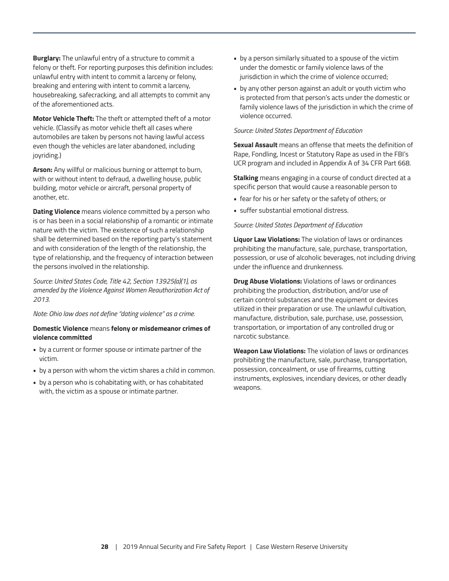<span id="page-27-0"></span>**Burglary:** The unlawful entry of a structure to commit a felony or theft. For reporting purposes this definition includes: unlawful entry with intent to commit a larceny or felony, breaking and entering with intent to commit a larceny, housebreaking, safecracking, and all attempts to commit any of the aforementioned acts.

**Motor Vehicle Theft:** The theft or attempted theft of a motor vehicle. (Classify as motor vehicle theft all cases where automobiles are taken by persons not having lawful access even though the vehicles are later abandoned, including joyriding.)

**Arson:** Any willful or malicious burning or attempt to burn, with or without intent to defraud, a dwelling house, public building, motor vehicle or aircraft, personal property of another, etc.

**Dating Violence** means violence committed by a person who is or has been in a social relationship of a romantic or intimate nature with the victim. The existence of such a relationship shall be determined based on the reporting party's statement and with consideration of the length of the relationship, the type of relationship, and the frequency of interaction between the persons involved in the relationship.

*Source: United States Code, Title 42, Section 13925(a)(1), as amended by the Violence Against Women Reauthorization Act of 2013.*

*Note: Ohio law does not define "dating violence" as a crime.*

#### **Domestic Violence** means **felony or misdemeanor crimes of violence committed**

- by a current or former spouse or intimate partner of the victim.
- by a person with whom the victim shares a child in common.
- by a person who is cohabitating with, or has cohabitated with, the victim as a spouse or intimate partner.
- by a person similarly situated to a spouse of the victim under the domestic or family violence laws of the jurisdiction in which the crime of violence occurred;
- by any other person against an adult or youth victim who is protected from that person's acts under the domestic or family violence laws of the jurisdiction in which the crime of violence occurred.

#### *Source: United States Department of Education*

**Sexual Assault** means an offense that meets the definition of Rape, Fondling, Incest or Statutory Rape as used in the FBI's UCR program and included in Appendix A of 34 CFR Part 668.

**Stalking** means engaging in a course of conduct directed at a specific person that would cause a reasonable person to

- fear for his or her safety or the safety of others; or
- suffer substantial emotional distress.

#### *Source: United States Department of Education*

**Liquor Law Violations:** The violation of laws or ordinances prohibiting the manufacture, sale, purchase, transportation, possession, or use of alcoholic beverages, not including driving under the influence and drunkenness*.* 

**Drug Abuse Violations:** Violations of laws or ordinances prohibiting the production, distribution, and/or use of certain control substances and the equipment or devices utilized in their preparation or use. The unlawful cultivation, manufacture, distribution, sale, purchase, use, possession, transportation, or importation of any controlled drug or narcotic substance.

**Weapon Law Violations:** The violation of laws or ordinances prohibiting the manufacture, sale, purchase, transportation, possession, concealment, or use of firearms, cutting instruments, explosives, incendiary devices, or other deadly weapons.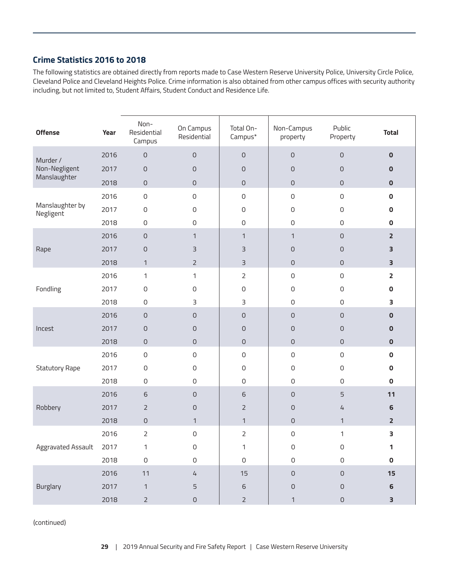# **Crime Statistics 2016 to 2018**

The following statistics are obtained directly from reports made to Case Western Reserve University Police, University Circle Police, Cleveland Police and Cleveland Heights Police. Crime information is also obtained from other campus offices with security authority including, but not limited to, Student Affairs, Student Conduct and Residence Life.

| <b>Offense</b>               | Year | Non-<br>Residential<br>Campus | On Campus<br>Residential | Total On-<br>Campus* | Non-Campus<br>property | Public<br>Property  | <b>Total</b>            |
|------------------------------|------|-------------------------------|--------------------------|----------------------|------------------------|---------------------|-------------------------|
| Murder /                     | 2016 | 0                             | $\mathsf{O}\xspace$      | $\mathsf{O}$         | $\mathbf 0$            | $\mathsf{O}$        | $\mathbf 0$             |
| Non-Negligent                | 2017 | $\mathsf{O}$                  | $\mathsf{O}$             | $\mathbf 0$          | $\mathsf{O}$           | $\mathsf O$         | $\pmb{0}$               |
| Manslaughter                 | 2018 | $\mathsf{O}\xspace$           | $\mathsf{O}\xspace$      | $\mathsf{O}$         | $\mathbf 0$            | $\mathsf{O}\xspace$ | $\pmb{0}$               |
|                              | 2016 | $\mathsf{O}\xspace$           | $\mathsf{O}\xspace$      | $\mathsf{O}$         | $\mathsf{O}\xspace$    | $\mathsf{O}$        | $\mathbf 0$             |
| Manslaughter by<br>Negligent | 2017 | $\mathsf{O}\xspace$           | $\mathsf{O}\xspace$      | $\mathsf 0$          | 0                      | $\mathsf{O}$        | $\pmb{0}$               |
|                              | 2018 | $\mathsf{O}\xspace$           | $\mathsf O$              | $\mathsf{O}$         | 0                      | $\mathsf{O}\xspace$ | $\mathbf 0$             |
|                              | 2016 | $\mathsf{O}$                  | $\mathbf{1}$             | $\mathbf{1}$         | $\mathbf{1}$           | $\mathsf{O}$        | $\overline{2}$          |
| Rape                         | 2017 | $\mathsf O$                   | $\overline{3}$           | 3                    | 0                      | $\mathsf O$         | 3                       |
|                              | 2018 | $\mathbf{1}$                  | $\overline{2}$           | $\overline{3}$       | 0                      | $\mathsf{O}\xspace$ | $\overline{\mathbf{3}}$ |
|                              | 2016 | 1                             | $\mathbf{1}$             | $\overline{2}$       | 0                      | $\mathsf{O}$        | $\overline{\mathbf{2}}$ |
| Fondling                     | 2017 | $\mathsf{O}\xspace$           | $\mathsf{O}\xspace$      | $\mathsf{O}\xspace$  | 0                      | $\mathsf{O}$        | $\pmb{0}$               |
|                              | 2018 | $\mathsf{O}\xspace$           | 3                        | 3                    | 0                      | $\mathsf{O}$        | 3                       |
|                              | 2016 | 0                             | $\mathsf{O}$             | $\mathsf{O}\xspace$  | $\mathsf{O}\xspace$    | $\mathsf{O}\xspace$ | $\mathbf 0$             |
| Incest                       | 2017 | 0                             | $\mathbf 0$              | $\mathsf{O}$         | 0                      | $\mathsf{O}$        | $\pmb{0}$               |
|                              | 2018 | $\mathsf{O}\xspace$           | $\mathsf{O}\xspace$      | $\mathsf{O}$         | 0                      | $\mathsf{O}$        | $\mathbf 0$             |
|                              | 2016 | $\mathsf{O}\xspace$           | $\mathsf{O}\xspace$      | $\mathsf O$          | 0                      | $\mathsf{O}\xspace$ | $\mathbf 0$             |
| <b>Statutory Rape</b>        | 2017 | $\mathsf{O}\xspace$           | $\mathsf{O}\xspace$      | $\mathsf{O}\xspace$  | 0                      | $\mathsf{O}\xspace$ | $\pmb{0}$               |
|                              | 2018 | $\mathsf{O}\xspace$           | $\mathsf O$              | $\mathsf{O}\xspace$  | 0                      | $\mathsf{O}\xspace$ | $\mathbf 0$             |
|                              | 2016 | 6                             | $\mathsf{O}$             | 6                    | $\mathsf{O}\xspace$    | $\overline{5}$      | 11                      |
| Robbery                      | 2017 | $\overline{2}$                | $\mathsf{O}$             | $\overline{2}$       | $\mathbf 0$            | $\sqrt{4}$          | $\boldsymbol{6}$        |
|                              | 2018 | $\mathsf{O}\xspace$           | $\mathbf{1}$             | $\mathbf{1}$         | $\mathsf{O}$           | $\mathbf{1}$        | $\overline{\mathbf{2}}$ |
|                              | 2016 | $\overline{2}$                | $\mathbf 0$              | $\overline{2}$       | $\mathsf{O}\xspace$    | $\mathbf{1}$        | 3                       |
| Aggravated Assault           | 2017 | 1                             | $\mathsf{O}\xspace$      | $\mathbf{1}$         | 0                      | $\mathsf{O}\xspace$ | 1                       |
|                              | 2018 | $\mathsf O$                   | $\mathsf{O}$             | $\mathsf{O}$         | $\mathsf O$            | $\mathsf{O}$        | $\pmb{0}$               |
|                              | 2016 | 11                            | $\sqrt{4}$               | 15                   | $\mathsf O$            | $\mathsf{O}$        | 15                      |
| <b>Burglary</b>              | 2017 | $\mathbf{1}$                  | 5                        | $\,$ 6 $\,$          | $\mathsf O$            | $\mathsf{O}$        | $\boldsymbol{6}$        |
|                              | 2018 | $\overline{2}$                | $\mathsf O$              | $\overline{2}$       | $\mathbf{1}$           | $\mathsf O$         | 3                       |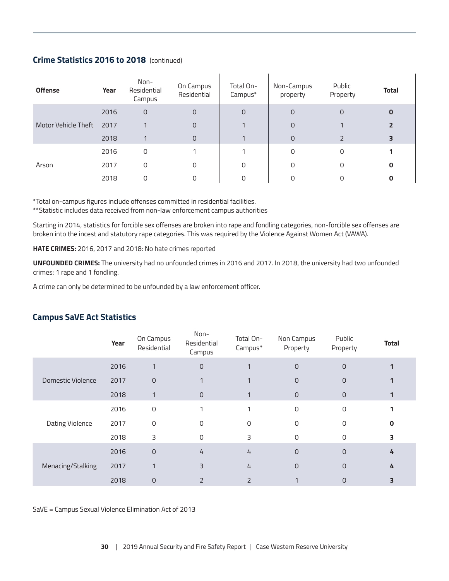# <span id="page-29-0"></span>**Crime Statistics 2016 to 2018** (continued)

| <b>Offense</b>      | Year | Non-<br>Residential<br>Campus | On Campus<br>Residential | Total On-<br>Campus* | Non-Campus<br>property | Public<br>Property | <b>Total</b> |
|---------------------|------|-------------------------------|--------------------------|----------------------|------------------------|--------------------|--------------|
|                     | 2016 | $\mathbf 0$                   | 0                        | 0                    | 0                      | 0                  | 0            |
| Motor Vehicle Theft | 2017 |                               | 0                        |                      | $\Omega$               |                    |              |
|                     | 2018 |                               | 0                        |                      | $\Omega$               |                    | 3            |
|                     | 2016 | 0                             |                          |                      | O                      | 0                  |              |
| Arson               | 2017 | 0                             | 0                        | O                    |                        |                    | 0            |
|                     | 2018 | N                             | 0                        |                      |                        |                    |              |

\*Total on-campus figures include offenses committed in residential facilities.

\*\*Statistic includes data received from non-law enforcement campus authorities

Starting in 2014, statistics for forcible sex offenses are broken into rape and fondling categories, non-forcible sex offenses are broken into the incest and statutory rape categories. This was required by the Violence Against Women Act (VAWA).

**HATE CRIMES:** 2016, 2017 and 2018: No hate crimes reported

**UNFOUNDED CRIMES:** The university had no unfounded crimes in 2016 and 2017. In 2018, the university had two unfounded crimes: 1 rape and 1 fondling.

A crime can only be determined to be unfounded by a law enforcement officer.

|                   | Year | On Campus<br>Residential | Non-<br>Residential<br>Campus | Total On-<br>Campus* | Non Campus<br>Property | Public<br>Property | <b>Total</b> |
|-------------------|------|--------------------------|-------------------------------|----------------------|------------------------|--------------------|--------------|
|                   | 2016 | 1                        | $\mathbf 0$                   |                      | $\overline{0}$         | $\Omega$           |              |
| Domestic Violence | 2017 | $\mathsf{O}$             |                               |                      | $\Omega$               | $\Omega$           |              |
|                   | 2018 | 1                        | $\mathbf{O}$                  |                      | $\overline{0}$         | $\mathbf 0$        |              |
|                   | 2016 | $\mathbf 0$              |                               |                      | $\mathbf 0$            | $\Omega$           |              |
| Dating Violence   | 2017 | 0                        | O                             | 0                    | 0                      | O                  |              |
|                   | 2018 | 3                        | $\Omega$                      | 3                    | $\mathbf 0$            | $\Omega$           |              |
| Menacing/Stalking | 2016 | $\Omega$                 | 4                             | 4                    | $\overline{0}$         | $\Omega$           | 4            |
|                   | 2017 |                          | 3                             | 4                    | $\overline{0}$         | $\Omega$           |              |
|                   | 2018 | $\overline{0}$           | $\overline{2}$                | $\overline{2}$       |                        | 0                  |              |

# **Campus SaVE Act Statistics**

SaVE = Campus Sexual Violence Elimination Act of 2013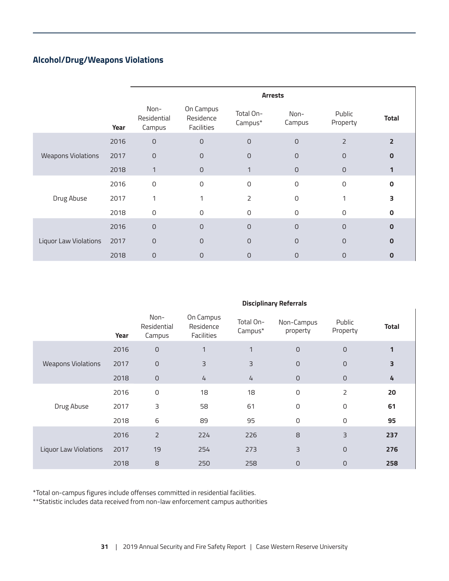# **Alcohol/Drug/Weapons Violations**

|                           |      |                               |                                      | <b>Arrests</b>       |                     |                    |                |
|---------------------------|------|-------------------------------|--------------------------------------|----------------------|---------------------|--------------------|----------------|
|                           | Year | Non-<br>Residential<br>Campus | On Campus<br>Residence<br>Facilities | Total On-<br>Campus* | Non-<br>Campus      | Public<br>Property | <b>Total</b>   |
|                           | 2016 | $\mathsf O$                   | $\overline{0}$                       | $\mathbf 0$          | $\mathsf{O}$        | $\overline{2}$     | $\overline{2}$ |
| <b>Weapons Violations</b> | 2017 | $\mathsf O$                   | 0                                    | 0                    | $\overline{O}$      | $\mathsf{O}$       | O              |
|                           | 2018 |                               | $\mathsf{O}$                         |                      | $\mathsf{O}$        | $\overline{0}$     |                |
|                           | 2016 | $\mathsf{O}$                  | 0                                    | 0                    | $\mathsf{O}\xspace$ | $\Omega$           | 0              |
| Drug Abuse                | 2017 | 1                             |                                      | 2                    | 0                   |                    | 3              |
|                           | 2018 | $\mathbf 0$                   | 0                                    | 0                    | $\mathbf 0$         | $\Omega$           | 0              |
|                           | 2016 | $\overline{0}$                | $\overline{O}$                       | $\overline{O}$       | $\overline{0}$      | $\Omega$           | $\mathbf{0}$   |
| Liquor Law Violations     | 2017 | $\overline{0}$                | $\Omega$                             | $\overline{0}$       | $\overline{0}$      | $\Omega$           | Ω              |
|                           | 2018 | $\overline{0}$                | 0                                    | $\overline{0}$       | $\overline{0}$      | $\Omega$           | 0              |

#### **Disciplinary Referrals**

|                              | Year | Non-<br>Residential<br>Campus | On Campus<br>Residence<br>Facilities | Total On-<br>Campus* | Non-Campus<br>property | Public<br>Property | <b>Total</b> |
|------------------------------|------|-------------------------------|--------------------------------------|----------------------|------------------------|--------------------|--------------|
|                              | 2016 | $\mathsf{O}$                  | 1                                    | $\mathbf{1}$         | $\circ$                | $\overline{O}$     |              |
| <b>Weapons Violations</b>    | 2017 | $\mathsf{O}\xspace$           | 3                                    | 3                    | $\circ$                | $\overline{O}$     | 3            |
|                              | 2018 | $\mathsf{O}$                  | $\overline{4}$                       | $\frac{1}{4}$        | $\mathsf{O}$           | $\overline{0}$     | 4            |
|                              | 2016 | $\mathsf 0$                   | 18                                   | 18                   | 0                      | 2                  | 20           |
| Drug Abuse                   | 2017 | 3                             | 58                                   | 61                   | 0                      | $\mathbf 0$        | 61           |
|                              | 2018 | 6                             | 89                                   | 95                   | 0                      | $\mathbf 0$        | 95           |
|                              | 2016 | $\overline{2}$                | 224                                  | 226                  | 8                      | 3                  | 237          |
| <b>Liquor Law Violations</b> | 2017 | 19                            | 254                                  | 273                  | 3                      | $\overline{O}$     | 276          |
|                              | 2018 | 8                             | 250                                  | 258                  | $\mathsf{O}$           | $\overline{0}$     | 258          |

\*Total on-campus figures include offenses committed in residential facilities.

\*\*Statistic includes data received from non-law enforcement campus authorities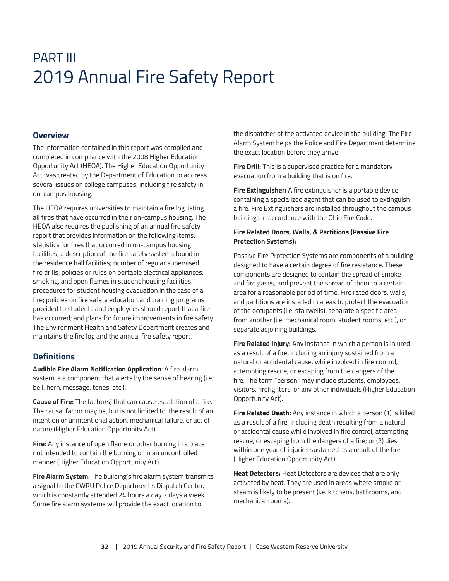# PART III 2019 Annual Fire Safety Report

## **Overview**

The information contained in this report was compiled and completed in compliance with the 2008 Higher Education Opportunity Act (HEOA). The Higher Education Opportunity Act was created by the Department of Education to address several issues on college campuses, including fire safety in on-campus housing.

The HEOA requires universities to maintain a fire log listing all fires that have occurred in their on-campus housing. The HEOA also requires the publishing of an annual fire safety report that provides information on the following items: statistics for fires that occurred in on-campus housing facilities; a description of the fire safety systems found in the residence hall facilities; number of regular supervised fire drills; policies or rules on portable electrical appliances, smoking, and open flames in student housing facilities; procedures for student housing evacuation in the case of a fire; policies on fire safety education and training programs provided to students and employees should report that a fire has occurred; and plans for future improvements in fire safety. The Environment Health and Safety Department creates and maintains the fire log and the annual fire safety report.

# **Definitions**

**Audible Fire Alarm Notification Application**: A fire alarm system is a component that alerts by the sense of hearing (i.e. bell, horn, message, tones, etc.).

**Cause of Fire:** The factor(s) that can cause escalation of a fire. The causal factor may be, but is not limited to, the result of an intention or unintentional action, mechanical failure, or act of nature (Higher Education Opportunity Act).

**Fire:** Any instance of open flame or other burning in a place not intended to contain the burning or in an uncontrolled manner (Higher Education Opportunity Act).

**Fire Alarm System**: The building's fire alarm system transmits a signal to the CWRU Police Department's Dispatch Center, which is constantly attended 24 hours a day 7 days a week. Some fire alarm systems will provide the exact location to

the dispatcher of the activated device in the building. The Fire Alarm System helps the Police and Fire Department determine the exact location before they arrive.

**Fire Drill:** This is a supervised practice for a mandatory evacuation from a building that is on fire.

**Fire Extinguisher:** A fire extinguisher is a portable device containing a specialized agent that can be used to extinguish a fire. Fire Extinguishers are installed throughout the campus buildings in accordance with the Ohio Fire Code.

#### **Fire Related Doors, Walls, & Partitions (Passive Fire Protection Systems):**

Passive Fire Protection Systems are components of a building designed to have a certain degree of fire resistance. These components are designed to contain the spread of smoke and fire gases, and prevent the spread of them to a certain area for a reasonable period of time. Fire rated doors, walls, and partitions are installed in areas to protect the evacuation of the occupants (i.e. stairwells), separate a specific area from another (i.e. mechanical room, student rooms, etc.), or separate adjoining buildings.

**Fire Related Injury:** Any instance in which a person is injured as a result of a fire, including an injury sustained from a natural or accidental cause, while involved in fire control, attempting rescue, or escaping from the dangers of the fire. The term "person" may include students, employees, visitors, firefighters, or any other individuals (Higher Education Opportunity Act).

**Fire Related Death:** Any instance in which a person (1) is killed as a result of a fire, including death resulting from a natural or accidental cause while involved in fire control, attempting rescue, or escaping from the dangers of a fire; or (2) dies within one year of injuries sustained as a result of the fire (Higher Education Opportunity Act).

**Heat Detectors:** Heat Detectors are devices that are only activated by heat. They are used in areas where smoke or steam is likely to be present (i.e. kitchens, bathrooms, and mechanical rooms).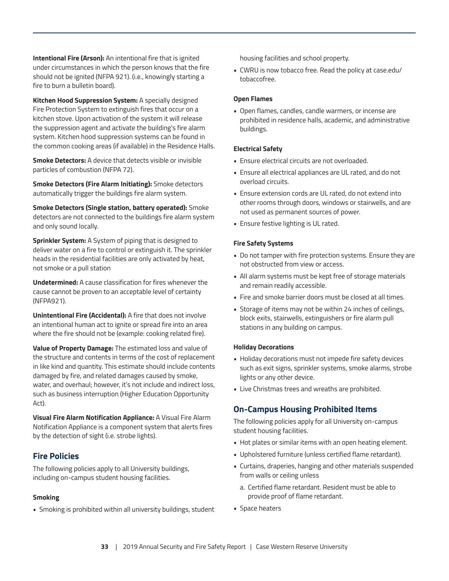**Intentional Fire (Arson):** An intentional fire that is ignited under circumstances in which the person knows that the fire should not be ignited (NFPA 921). (i.e., knowingly starting a fire to burn a bulletin board).

**Kitchen Hood Suppression System:** A specially designed Fire Protection System to extinguish fires that occur on a kitchen stove. Upon activation of the system it will release the suppression agent and activate the building's fire alarm system. Kitchen hood suppression systems can be found in the common cooking areas (if available) in the Residence Halls.

**Smoke Detectors:** A device that detects visible or invisible particles of combustion (NFPA 72).

**Smoke Detectors (Fire Alarm Initiating):** Smoke detectors automatically trigger the buildings fire alarm system.

**Smoke Detectors (Single station, battery operated):** Smoke detectors are not connected to the buildings fire alarm system and only sound locally.

**Sprinkler System:** A System of piping that is designed to deliver water on a fire to control or extinguish it. The sprinkler heads in the residential facilities are only activated by heat, not smoke or a pull station

**Undetermined:** A cause classification for fires whenever the cause cannot be proven to an acceptable level of certainty (NFPA921).

**Unintentional Fire (Accidental):** A fire that does not involve an intentional human act to ignite or spread fire into an area where the fire should not be (example: cooking related fire).

**Value of Property Damage:** The estimated loss and value of the structure and contents in terms of the cost of replacement in like kind and quantity. This estimate should include contents damaged by fire, and related damages caused by smoke, water, and overhaul; however, it's not include and indirect loss, such as business interruption (Higher Education Opportunity Act).

**Visual Fire Alarm Notification Appliance:** A Visual Fire Alarm Notification Appliance is a component system that alerts fires by the detection of sight (i.e. strobe lights).

# **Fire Policies**

The following policies apply to all University buildings, including on-campus student housing facilities.

#### **Smoking**

• Smoking is prohibited within all university buildings, student

housing facilities and school property.

• CWRU is now tobacco free. Read the policy at case.edu/ tobaccofree.

#### **Open Flames**

• Open flames, candles, candle warmers, or incense are prohibited in residence halls, academic, and administrative buildings.

#### **Electrical Safety**

- Ensure electrical circuits are not overloaded.
- Ensure all electrical appliances are UL rated, and do not overload circuits.
- Ensure extension cords are UL rated, do not extend into other rooms through doors, windows or stairwells, and are not used as permanent sources of power.
- Ensure festive lighting is UL rated.

#### **Fire Safety Systems**

- Do not tamper with fire protection systems. Ensure they are not obstructed from view or access.
- All alarm systems must be kept free of storage materials and remain readily accessible.
- Fire and smoke barrier doors must be closed at all times.
- Storage of items may not be within 24 inches of ceilings, block exits, stairwells, extinguishers or fire alarm pull stations in any building on campus.

#### **Holiday Decorations**

- Holiday decorations must not impede fire safety devices such as exit signs, sprinkler systems, smoke alarms, strobe lights or any other device.
- Live Christmas trees and wreaths are prohibited.

# **On-Campus Housing Prohibited Items**

The following policies apply for all University on-campus student housing facilities.

- Hot plates or similar items with an open heating element.
- Upholstered furniture (unless certified flame retardant).
- Curtains, draperies, hanging and other materials suspended from walls or ceiling unless
	- a. Certified flame retardant. Resident must be able to provide proof of flame retardant.
- Space heaters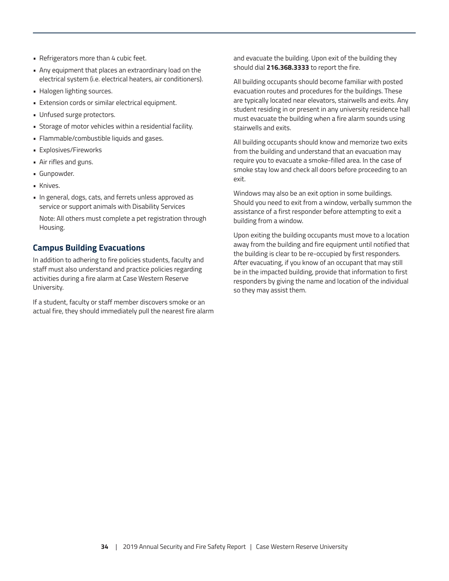- Refrigerators more than 4 cubic feet.
- Any equipment that places an extraordinary load on the electrical system (i.e. electrical heaters, air conditioners).
- Halogen lighting sources.
- Extension cords or similar electrical equipment.
- Unfused surge protectors.
- Storage of motor vehicles within a residential facility.
- Flammable/combustible liquids and gases.
- Explosives/Fireworks
- Air rifles and guns.
- Gunpowder.
- Knives.
- In general, dogs, cats, and ferrets unless approved as service or support animals with Disability Services Note: All others must complete a pet registration through Housing.

# **Campus Building Evacuations**

In addition to adhering to fire policies students, faculty and staff must also understand and practice policies regarding activities during a fire alarm at Case Western Reserve University.

If a student, faculty or staff member discovers smoke or an actual fire, they should immediately pull the nearest fire alarm and evacuate the building. Upon exit of the building they should dial **216.368.3333** to report the fire.

All building occupants should become familiar with posted evacuation routes and procedures for the buildings. These are typically located near elevators, stairwells and exits. Any student residing in or present in any university residence hall must evacuate the building when a fire alarm sounds using stairwells and exits.

All building occupants should know and memorize two exits from the building and understand that an evacuation may require you to evacuate a smoke-filled area. In the case of smoke stay low and check all doors before proceeding to an exit.

Windows may also be an exit option in some buildings. Should you need to exit from a window, verbally summon the assistance of a first responder before attempting to exit a building from a window.

Upon exiting the building occupants must move to a location away from the building and fire equipment until notified that the building is clear to be re-occupied by first responders. After evacuating, if you know of an occupant that may still be in the impacted building, provide that information to first responders by giving the name and location of the individual so they may assist them.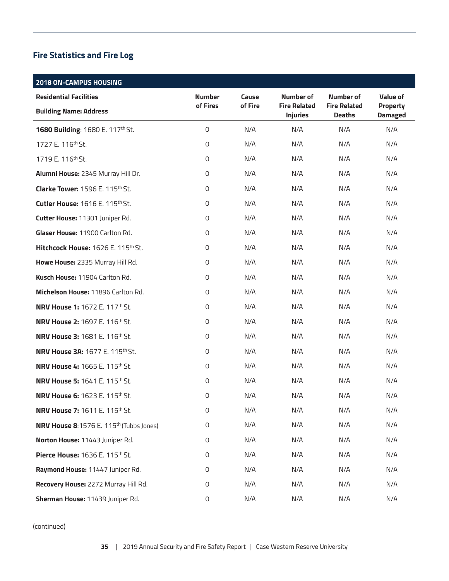# **Fire Statistics and Fire Log**

| <b>2018 ON-CAMPUS HOUSING</b>                       |                     |         |                                        |                                      |                                   |
|-----------------------------------------------------|---------------------|---------|----------------------------------------|--------------------------------------|-----------------------------------|
| <b>Residential Facilities</b>                       | <b>Number</b>       | Cause   | Number of                              | <b>Number of</b>                     | Value of                          |
| <b>Building Name: Address</b>                       | of Fires            | of Fire | <b>Fire Related</b><br><b>Injuries</b> | <b>Fire Related</b><br><b>Deaths</b> | <b>Property</b><br><b>Damaged</b> |
| 1680 Building: 1680 E. 117th St.                    | $\mathsf{O}$        | N/A     | N/A                                    | N/A                                  | N/A                               |
| 1727 E. 116 <sup>th</sup> St.                       | 0                   | N/A     | N/A                                    | N/A                                  | N/A                               |
| 1719 E. 116th St.                                   | 0                   | N/A     | N/A                                    | N/A                                  | N/A                               |
| Alumni House: 2345 Murray Hill Dr.                  | 0                   | N/A     | N/A                                    | N/A                                  | N/A                               |
| Clarke Tower: 1596 E. 115th St.                     | $\mathsf{O}\xspace$ | N/A     | N/A                                    | N/A                                  | N/A                               |
| <b>Cutler House: 1616 E. 115th St.</b>              | 0                   | N/A     | N/A                                    | N/A                                  | N/A                               |
| Cutter House: 11301 Juniper Rd.                     | 0                   | N/A     | N/A                                    | N/A                                  | N/A                               |
| Glaser House: 11900 Carlton Rd.                     | 0                   | N/A     | N/A                                    | N/A                                  | N/A                               |
| Hitchcock House: 1626 E. 115th St.                  | 0                   | N/A     | N/A                                    | N/A                                  | N/A                               |
| Howe House: 2335 Murray Hill Rd.                    | 0                   | N/A     | N/A                                    | N/A                                  | N/A                               |
| Kusch House: 11904 Carlton Rd.                      | $\mathsf{O}\xspace$ | N/A     | N/A                                    | N/A                                  | N/A                               |
| Michelson House: 11896 Carlton Rd.                  | 0                   | N/A     | N/A                                    | N/A                                  | N/A                               |
| <b>NRV House 1: 1672 E. 117th St.</b>               | 0                   | N/A     | N/A                                    | N/A                                  | N/A                               |
| <b>NRV House 2: 1697 E. 116th St.</b>               | 0                   | N/A     | N/A                                    | N/A                                  | N/A                               |
| <b>NRV House 3: 1681 E. 116th St.</b>               | $\mathsf{O}\xspace$ | N/A     | N/A                                    | N/A                                  | N/A                               |
| <b>NRV House 3A: 1677 E. 115th St.</b>              | 0                   | N/A     | N/A                                    | N/A                                  | N/A                               |
| <b>NRV House 4: 1665 E. 115th St.</b>               | 0                   | N/A     | N/A                                    | N/A                                  | N/A                               |
| <b>NRV House 5: 1641 E. 115th St.</b>               | 0                   | N/A     | N/A                                    | N/A                                  | N/A                               |
| <b>NRV House 6: 1623 E. 115th St.</b>               | 0                   | N/A     | N/A                                    | N/A                                  | N/A                               |
| <b>NRV House 7: 1611 E. 115th St.</b>               | $\mathsf 0$         | N/A     | N/A                                    | N/A                                  | N/A                               |
| NRV House 8:1576 E. 115 <sup>th</sup> (Tubbs Jones) | $\mathsf 0$         | N/A     | N/A                                    | N/A                                  | N/A                               |
| Norton House: 11443 Juniper Rd.                     | 0                   | N/A     | N/A                                    | N/A                                  | N/A                               |
| Pierce House: 1636 E. 115th St.                     | 0                   | N/A     | N/A                                    | N/A                                  | N/A                               |
| Raymond House: 11447 Juniper Rd.                    | 0                   | N/A     | N/A                                    | N/A                                  | N/A                               |
| Recovery House: 2272 Murray Hill Rd.                | 0                   | N/A     | N/A                                    | N/A                                  | N/A                               |
| Sherman House: 11439 Juniper Rd.                    | 0                   | N/A     | N/A                                    | N/A                                  | N/A                               |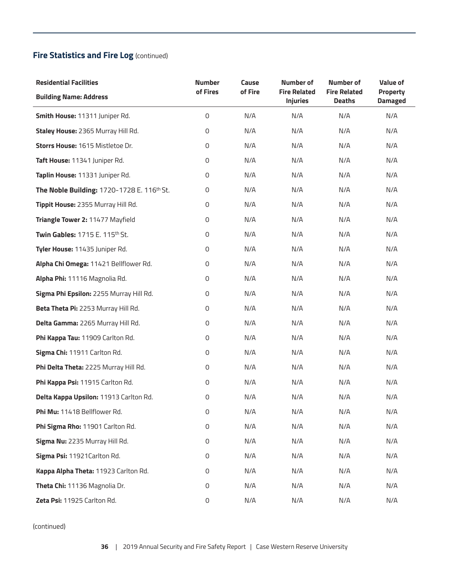| <b>Residential Facilities</b>              | <b>Number</b>       | Cause   | <b>Number of</b>                       | Number of                            | <b>Value of</b>            |
|--------------------------------------------|---------------------|---------|----------------------------------------|--------------------------------------|----------------------------|
| <b>Building Name: Address</b>              | of Fires            | of Fire | <b>Fire Related</b><br><b>Injuries</b> | <b>Fire Related</b><br><b>Deaths</b> | Property<br><b>Damaged</b> |
| Smith House: 11311 Juniper Rd.             | 0                   | N/A     | N/A                                    | N/A                                  | N/A                        |
| Staley House: 2365 Murray Hill Rd.         | 0                   | N/A     | N/A                                    | N/A                                  | N/A                        |
| Storrs House: 1615 Mistletoe Dr.           | 0                   | N/A     | N/A                                    | N/A                                  | N/A                        |
| Taft House: 11341 Juniper Rd.              | 0                   | N/A     | N/A                                    | N/A                                  | N/A                        |
| Taplin House: 11331 Juniper Rd.            | 0                   | N/A     | N/A                                    | N/A                                  | N/A                        |
| The Noble Building: 1720-1728 E. 116th St. | 0                   | N/A     | N/A                                    | N/A                                  | N/A                        |
| Tippit House: 2355 Murray Hill Rd.         | 0                   | N/A     | N/A                                    | N/A                                  | N/A                        |
| Triangle Tower 2: 11477 Mayfield           | 0                   | N/A     | N/A                                    | N/A                                  | N/A                        |
| Twin Gables: 1715 E. 115th St.             | $\mathsf{O}\xspace$ | N/A     | N/A                                    | N/A                                  | N/A                        |
| Tyler House: 11435 Juniper Rd.             | 0                   | N/A     | N/A                                    | N/A                                  | N/A                        |
| Alpha Chi Omega: 11421 Bellflower Rd.      | 0                   | N/A     | N/A                                    | N/A                                  | N/A                        |
| Alpha Phi: 11116 Magnolia Rd.              | $\mathsf{O}\xspace$ | N/A     | N/A                                    | N/A                                  | N/A                        |
| Sigma Phi Epsilon: 2255 Murray Hill Rd.    | 0                   | N/A     | N/A                                    | N/A                                  | N/A                        |
| Beta Theta Pi: 2253 Murray Hill Rd.        | 0                   | N/A     | N/A                                    | N/A                                  | N/A                        |
| Delta Gamma: 2265 Murray Hill Rd.          | 0                   | N/A     | N/A                                    | N/A                                  | N/A                        |
| Phi Kappa Tau: 11909 Carlton Rd.           | 0                   | N/A     | N/A                                    | N/A                                  | N/A                        |
| Sigma Chi: 11911 Carlton Rd.               | 0                   | N/A     | N/A                                    | N/A                                  | N/A                        |
| Phi Delta Theta: 2225 Murray Hill Rd.      | 0                   | N/A     | N/A                                    | N/A                                  | N/A                        |
| Phi Kappa Psi: 11915 Carlton Rd.           | 0                   | N/A     | N/A                                    | N/A                                  | N/A                        |
| Delta Kappa Upsilon: 11913 Carlton Rd.     | 0                   | N/A     | N/A                                    | N/A                                  | N/A                        |
| Phi Mu: 11418 Bellflower Rd.               | 0                   | N/A     | N/A                                    | N/A                                  | N/A                        |
| Phi Sigma Rho: 11901 Carlton Rd.           | 0                   | N/A     | N/A                                    | N/A                                  | N/A                        |
| Sigma Nu: 2235 Murray Hill Rd.             | 0                   | N/A     | N/A                                    | N/A                                  | N/A                        |
| Sigma Psi: 11921 Carlton Rd.               | 0                   | N/A     | N/A                                    | N/A                                  | N/A                        |
| Kappa Alpha Theta: 11923 Carlton Rd.       | 0                   | N/A     | N/A                                    | N/A                                  | N/A                        |
| Theta Chi: 11136 Magnolia Dr.              | 0                   | N/A     | N/A                                    | N/A                                  | N/A                        |
| Zeta Psi: 11925 Carlton Rd.                | 0                   | N/A     | N/A                                    | N/A                                  | N/A                        |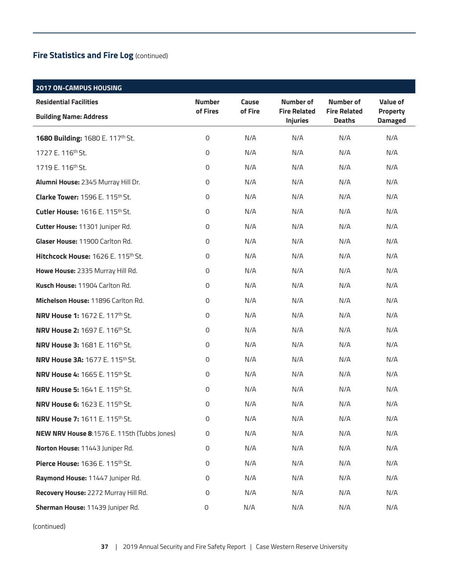| <b>2017 ON-CAMPUS HOUSING</b>               |               |         |                                        |                                      |                                   |
|---------------------------------------------|---------------|---------|----------------------------------------|--------------------------------------|-----------------------------------|
| <b>Residential Facilities</b>               | <b>Number</b> | Cause   | Number of                              | <b>Number of</b>                     | <b>Value of</b>                   |
| <b>Building Name: Address</b>               | of Fires      | of Fire | <b>Fire Related</b><br><b>Injuries</b> | <b>Fire Related</b><br><b>Deaths</b> | <b>Property</b><br><b>Damaged</b> |
| 1680 Building: 1680 E. 117th St.            | 0             | N/A     | N/A                                    | N/A                                  | N/A                               |
| 1727 E. 116th St.                           | 0             | N/A     | N/A                                    | N/A                                  | N/A                               |
| 1719 E. 116 <sup>th</sup> St.               | 0             | N/A     | N/A                                    | N/A                                  | N/A                               |
| Alumni House: 2345 Murray Hill Dr.          | 0             | N/A     | N/A                                    | N/A                                  | N/A                               |
| Clarke Tower: 1596 E. 115th St.             | 0             | N/A     | N/A                                    | N/A                                  | N/A                               |
| Cutler House: 1616 E. 115 <sup>th</sup> St. | 0             | N/A     | N/A                                    | N/A                                  | N/A                               |
| Cutter House: 11301 Juniper Rd.             | 0             | N/A     | N/A                                    | N/A                                  | N/A                               |
| Glaser House: 11900 Carlton Rd.             | 0             | N/A     | N/A                                    | N/A                                  | N/A                               |
| Hitchcock House: 1626 E. 115th St.          | 0             | N/A     | N/A                                    | N/A                                  | N/A                               |
| Howe House: 2335 Murray Hill Rd.            | 0             | N/A     | N/A                                    | N/A                                  | N/A                               |
| Kusch House: 11904 Carlton Rd.              | 0             | N/A     | N/A                                    | N/A                                  | N/A                               |
| Michelson House: 11896 Carlton Rd.          | 0             | N/A     | N/A                                    | N/A                                  | N/A                               |
| <b>NRV House 1: 1672 E. 117th St.</b>       | 0             | N/A     | N/A                                    | N/A                                  | N/A                               |
| <b>NRV House 2: 1697 E. 116th St.</b>       | 0             | N/A     | N/A                                    | N/A                                  | N/A                               |
| <b>NRV House 3: 1681 E. 116th St.</b>       | 0             | N/A     | N/A                                    | N/A                                  | N/A                               |
| <b>NRV House 3A: 1677 E. 115th St.</b>      | 0             | N/A     | N/A                                    | N/A                                  | N/A                               |
| <b>NRV House 4: 1665 E. 115th St.</b>       | 0             | N/A     | N/A                                    | N/A                                  | N/A                               |
| <b>NRV House 5: 1641 E. 115th St.</b>       | 0             | N/A     | N/A                                    | N/A                                  | N/A                               |
| <b>NRV House 6: 1623 E. 115th St.</b>       | 0             | N/A     | N/A                                    | N/A                                  | N/A                               |
| <b>NRV House 7: 1611 E. 115th St.</b>       | 0             | N/A     | N/A                                    | N/A                                  | N/A                               |
| NEW NRV House 8:1576 E. 115th (Tubbs Jones) | 0             | N/A     | N/A                                    | N/A                                  | N/A                               |
| Norton House: 11443 Juniper Rd.             | 0             | N/A     | N/A                                    | N/A                                  | N/A                               |
| Pierce House: 1636 E. 115th St.             | 0             | N/A     | N/A                                    | N/A                                  | N/A                               |
| Raymond House: 11447 Juniper Rd.            | 0             | N/A     | N/A                                    | N/A                                  | N/A                               |
| Recovery House: 2272 Murray Hill Rd.        | 0             | N/A     | N/A                                    | N/A                                  | N/A                               |
| Sherman House: 11439 Juniper Rd.            | 0             | N/A     | N/A                                    | N/A                                  | N/A                               |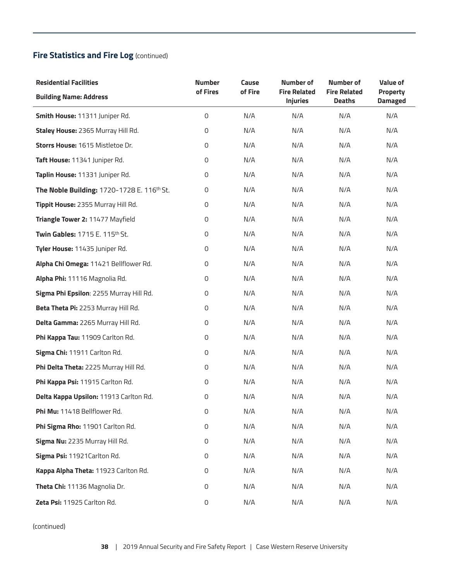| <b>Residential Facilities</b>              | <b>Number</b>       | Cause   | <b>Number of</b>                       | <b>Number of</b>                     | <b>Value of</b>            |
|--------------------------------------------|---------------------|---------|----------------------------------------|--------------------------------------|----------------------------|
| <b>Building Name: Address</b>              | of Fires            | of Fire | <b>Fire Related</b><br><b>Injuries</b> | <b>Fire Related</b><br><b>Deaths</b> | Property<br><b>Damaged</b> |
| Smith House: 11311 Juniper Rd.             | $\mathsf O$         | N/A     | N/A                                    | N/A                                  | N/A                        |
| Staley House: 2365 Murray Hill Rd.         | $\mathbf 0$         | N/A     | N/A                                    | N/A                                  | N/A                        |
| Storrs House: 1615 Mistletoe Dr.           | 0                   | N/A     | N/A                                    | N/A                                  | N/A                        |
| Taft House: 11341 Juniper Rd.              | 0                   | N/A     | N/A                                    | N/A                                  | N/A                        |
| Taplin House: 11331 Juniper Rd.            | 0                   | N/A     | N/A                                    | N/A                                  | N/A                        |
| The Noble Building: 1720-1728 E. 116th St. | 0                   | N/A     | N/A                                    | N/A                                  | N/A                        |
| Tippit House: 2355 Murray Hill Rd.         | 0                   | N/A     | N/A                                    | N/A                                  | N/A                        |
| Triangle Tower 2: 11477 Mayfield           | $\mathbf 0$         | N/A     | N/A                                    | N/A                                  | N/A                        |
| Twin Gables: 1715 E. 115th St.             | $\mathsf{O}\xspace$ | N/A     | N/A                                    | N/A                                  | N/A                        |
| Tyler House: 11435 Juniper Rd.             | 0                   | N/A     | N/A                                    | N/A                                  | N/A                        |
| Alpha Chi Omega: 11421 Bellflower Rd.      | $\mathbf 0$         | N/A     | N/A                                    | N/A                                  | N/A                        |
| Alpha Phi: 11116 Magnolia Rd.              | $\mathsf{O}\xspace$ | N/A     | N/A                                    | N/A                                  | N/A                        |
| Sigma Phi Epsilon: 2255 Murray Hill Rd.    | 0                   | N/A     | N/A                                    | N/A                                  | N/A                        |
| Beta Theta Pi: 2253 Murray Hill Rd.        | $\mathbf 0$         | N/A     | N/A                                    | N/A                                  | N/A                        |
| Delta Gamma: 2265 Murray Hill Rd.          | 0                   | N/A     | N/A                                    | N/A                                  | N/A                        |
| Phi Kappa Tau: 11909 Carlton Rd.           | $\mathbf 0$         | N/A     | N/A                                    | N/A                                  | N/A                        |
| Sigma Chi: 11911 Carlton Rd.               | $\mathbf 0$         | N/A     | N/A                                    | N/A                                  | N/A                        |
| Phi Delta Theta: 2225 Murray Hill Rd.      | 0                   | N/A     | N/A                                    | N/A                                  | N/A                        |
| Phi Kappa Psi: 11915 Carlton Rd.           | 0                   | N/A     | N/A                                    | N/A                                  | N/A                        |
| Delta Kappa Upsilon: 11913 Carlton Rd.     | $\mathbf 0$         | N/A     | N/A                                    | N/A                                  | N/A                        |
| Phi Mu: 11418 Bellflower Rd.               | $\mathbf 0$         | N/A     | N/A                                    | N/A                                  | N/A                        |
| Phi Sigma Rho: 11901 Carlton Rd.           | $\mathsf{O}\xspace$ | N/A     | N/A                                    | N/A                                  | N/A                        |
| Sigma Nu: 2235 Murray Hill Rd.             | $\mathsf{O}\xspace$ | N/A     | N/A                                    | N/A                                  | N/A                        |
| Sigma Psi: 11921 Carlton Rd.               | 0                   | N/A     | N/A                                    | N/A                                  | N/A                        |
| Kappa Alpha Theta: 11923 Carlton Rd.       | $\mathsf{O}\xspace$ | N/A     | N/A                                    | N/A                                  | N/A                        |
| Theta Chi: 11136 Magnolia Dr.              | $\mathsf{O}\xspace$ | N/A     | N/A                                    | N/A                                  | N/A                        |
| Zeta Psi: 11925 Carlton Rd.                | $\mathsf{O}\xspace$ | N/A     | N/A                                    | N/A                                  | N/A                        |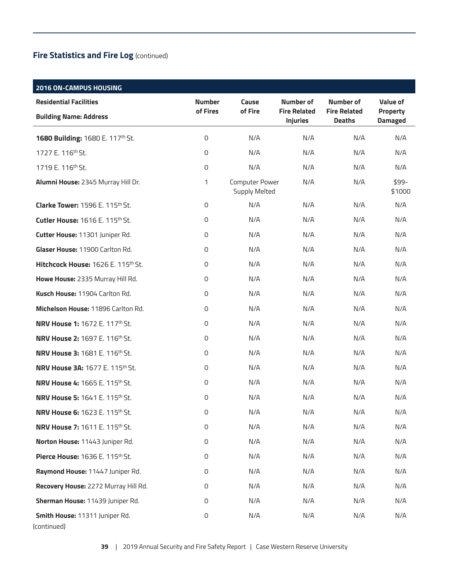# **2016 ON-CAMPUS HOUSING Residential Facilities Building Name: Address Number of Fires Cause of Fire Number of Fire Related Injuries Number of Fire Related Deaths Value of Property Damaged 1680 Building:** 1680 E. 117<sup>th</sup> St. 0 0 N/A N/A N/A N/A N/A N/A 1727 E. 116th St. 0 N/A N/A N/A N/A 1719 E. 116th St. 0 N/A N/A N/A N/A **Alumni House:** 2345 Murray Hill Dr. 1 Computer Power Supply Melted N/A N/A \$99- \$1000 **Clarke Tower:** 1596 E. 115<sup>th</sup> St. 0 0 N/A N/A N/A N/A N/A N/A **Cutler House:** 1616 E. 115<sup>th</sup> St. 0 0 N/A N/A N/A N/A N/A N/A **Cutter House:** 11301 Juniper Rd. 0 N/A N/A N/A N/A **Glaser House:** 11900 Carlton Rd. 0 N/A N/A N/A N/A **Hitchcock House:** 1626 E. 115<sup>th</sup> St. 0 0 N/A N/A N/A N/A N/A N/A **Howe House:** 2335 Murray Hill Rd. 0 N/A N/A N/A N/A **Kusch House:** 11904 Carlton Rd. 0 N/A N/A N/A N/A **Michelson House:** 11896 Carlton Rd. 0 N/A N/A N/A N/A **NRV House 1:** 1672 E. 117<sup>th</sup> St. **1888 Communist Communist Communist Communist Communist Communist Communist Communist Communist Communist Communist Communist Communist Communist Communist Communist Communist Communist C NRV House 2:** 1697 E. 116th St. 0 N/A N/A N/A N/A **NRV House 3:** 1681 E. 116th St. 0 N/A N/A N/A N/A **NRV House 3A:** 1677 E. 115<sup>th</sup> St. 0 0 N/A N/A N/A N/A N/A N/A **NRV House 4:** 1665 E. 115th St. 0 N/A N/A N/A N/A **NRV House 5:** 1641 E. 115th St. 0 N/A N/A N/A N/A **NRV House 6:** 1623 E. 115<sup>th</sup> St. 0  $N/A$  N/A N/A N/A N/A N/A **NRV House 7:** 1611 E. 115th St. 0 N/A N/A N/A N/A **Norton House:** 11443 Juniper Rd. 0 N/A N/A N/A N/A **Pierce House:** 1636 E. 115<sup>th</sup> St. 0 0 N/A N/A N/A N/A N/A N/A **Raymond House:** 11447 Juniper Rd. **0** 0 M/A N/A N/A N/A N/A N/A **Recovery House:** 2272 Murray Hill Rd. 0 0 N/A N/A N/A N/A N/A N/A **Sherman House:** 11439 Juniper Rd. 0 N/A N/A N/A N/A **Smith House:** 11311 Juniper Rd. 0 N/A N/A N/A N/A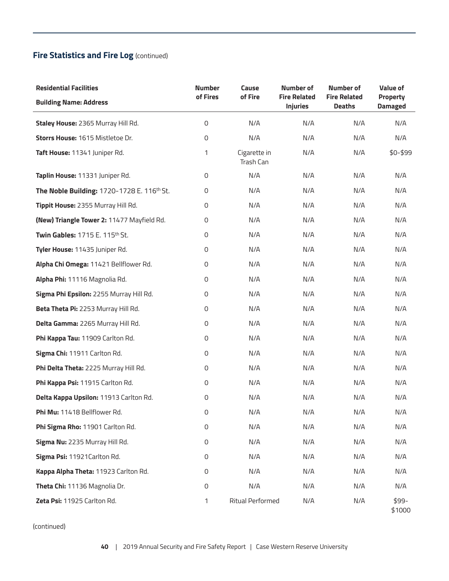| <b>Residential Facilities</b>              | <b>Number</b>       | Cause                     | <b>Number of</b>                       | Number of                            | <b>Value of</b>                   |
|--------------------------------------------|---------------------|---------------------------|----------------------------------------|--------------------------------------|-----------------------------------|
| <b>Building Name: Address</b>              | of Fires            | of Fire                   | <b>Fire Related</b><br><b>Injuries</b> | <b>Fire Related</b><br><b>Deaths</b> | <b>Property</b><br><b>Damaged</b> |
| Staley House: 2365 Murray Hill Rd.         | 0                   | N/A                       | N/A                                    | N/A                                  | N/A                               |
| Storrs House: 1615 Mistletoe Dr.           | 0                   | N/A                       | N/A                                    | N/A                                  | N/A                               |
| Taft House: 11341 Juniper Rd.              | 1                   | Cigarette in<br>Trash Can | N/A                                    | N/A                                  | \$0-\$99                          |
| Taplin House: 11331 Juniper Rd.            | 0                   | N/A                       | N/A                                    | N/A                                  | N/A                               |
| The Noble Building: 1720-1728 E. 116th St. | 0                   | N/A                       | N/A                                    | N/A                                  | N/A                               |
| Tippit House: 2355 Murray Hill Rd.         | 0                   | N/A                       | N/A                                    | N/A                                  | N/A                               |
| (New) Triangle Tower 2: 11477 Mayfield Rd. | $\mathsf{O}\xspace$ | N/A                       | N/A                                    | N/A                                  | N/A                               |
| Twin Gables: 1715 E. 115th St.             | 0                   | N/A                       | N/A                                    | N/A                                  | N/A                               |
| Tyler House: 11435 Juniper Rd.             | 0                   | N/A                       | N/A                                    | N/A                                  | N/A                               |
| Alpha Chi Omega: 11421 Bellflower Rd.      | $\mathsf{O}\xspace$ | N/A                       | N/A                                    | N/A                                  | N/A                               |
| Alpha Phi: 11116 Magnolia Rd.              | $\mathsf{O}\xspace$ | N/A                       | N/A                                    | N/A                                  | N/A                               |
| Sigma Phi Epsilon: 2255 Murray Hill Rd.    | $\mathsf{O}\xspace$ | N/A                       | N/A                                    | N/A                                  | N/A                               |
| Beta Theta Pi: 2253 Murray Hill Rd.        | 0                   | N/A                       | N/A                                    | N/A                                  | N/A                               |
| Delta Gamma: 2265 Murray Hill Rd.          | 0                   | N/A                       | N/A                                    | N/A                                  | N/A                               |
| Phi Kappa Tau: 11909 Carlton Rd.           | $\mathsf{O}\xspace$ | N/A                       | N/A                                    | N/A                                  | N/A                               |
| Sigma Chi: 11911 Carlton Rd.               | $\mathsf{O}\xspace$ | N/A                       | N/A                                    | N/A                                  | N/A                               |
| Phi Delta Theta: 2225 Murray Hill Rd.      | 0                   | N/A                       | N/A                                    | N/A                                  | N/A                               |
| Phi Kappa Psi: 11915 Carlton Rd.           | $\mathsf{O}\xspace$ | N/A                       | N/A                                    | N/A                                  | N/A                               |
| Delta Kappa Upsilon: 11913 Carlton Rd.     | $\mathsf{O}\xspace$ | N/A                       | N/A                                    | N/A                                  | N/A                               |
| Phi Mu: 11418 Bellflower Rd.               | 0                   | N/A                       | N/A                                    | N/A                                  | N/A                               |
| Phi Sigma Rho: 11901 Carlton Rd.           | $\mathsf{O}\xspace$ | N/A                       | N/A                                    | N/A                                  | N/A                               |
| Sigma Nu: 2235 Murray Hill Rd.             | $\mathsf{O}\xspace$ | N/A                       | N/A                                    | N/A                                  | N/A                               |
| Sigma Psi: 11921 Carlton Rd.               | $\mathbf 0$         | N/A                       | N/A                                    | N/A                                  | N/A                               |
| Kappa Alpha Theta: 11923 Carlton Rd.       | $\mathbf 0$         | N/A                       | N/A                                    | N/A                                  | N/A                               |
| Theta Chi: 11136 Magnolia Dr.              | 0                   | N/A                       | N/A                                    | N/A                                  | N/A                               |
| Zeta Psi: 11925 Carlton Rd.                | 1                   | <b>Ritual Performed</b>   | N/A                                    | N/A                                  | \$99-<br>\$1000                   |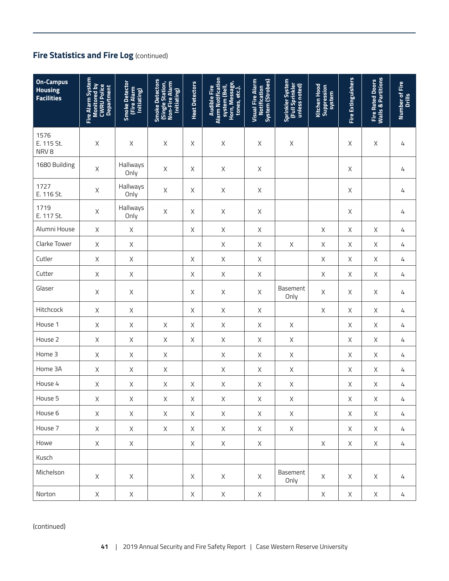| <b>On-Campus</b><br><b>Housing</b><br><b>Facilities</b> | Fire Alarm System<br><b>Monitored by</b><br>CWRU Police<br><b>Department</b> | Smoke Detector<br>(Fire Alarm<br>Initiating) | Smoke Detectors<br>(Single Station,<br>Non-Fire Alarm<br>Initiating) | <b>Heat Detectors</b> | <b>Alarm Notification</b><br>Horn, Message,<br>system (Bell,<br><b>Audible Fire</b><br>tones, etc.). | <b>Visual Fire Alarm</b><br>System (Strobes)<br><b>Notification</b> | Sprinkler System<br> Full Sprinkler<br> unless noted) | <b>Kitchen Hood</b><br>Suppression<br>system | <b>Fire Extinguishers</b> | <b>Fire Rated Doors<br/>Walls &amp; Partitions</b> | Number of Fire<br>Drills |
|---------------------------------------------------------|------------------------------------------------------------------------------|----------------------------------------------|----------------------------------------------------------------------|-----------------------|------------------------------------------------------------------------------------------------------|---------------------------------------------------------------------|-------------------------------------------------------|----------------------------------------------|---------------------------|----------------------------------------------------|--------------------------|
| 1576<br>E. 115 St.<br>NRV8                              | $\mathsf X$                                                                  | $\mathsf X$                                  | $\mathsf X$                                                          | Χ                     | $\mathsf X$                                                                                          | $\mathsf X$                                                         | $\mathsf X$                                           |                                              | $\mathsf X$               | $\mathsf X$                                        | 4                        |
| 1680 Building                                           | Χ                                                                            | Hallways<br>Only                             | $\mathsf X$                                                          | Χ                     | Χ                                                                                                    | $\mathsf X$                                                         |                                                       |                                              | $\mathsf X$               |                                                    | 4                        |
| 1727<br>E. 116 St.                                      | $\mathsf X$                                                                  | Hallways<br>Only                             | $\mathsf X$                                                          | Χ                     | $\mathsf X$                                                                                          | $\mathsf X$                                                         |                                                       |                                              | $\mathsf X$               |                                                    | 4                        |
| 1719<br>E. 117 St.                                      | $\mathsf X$                                                                  | Hallways<br>Only                             | $\mathsf X$                                                          | X                     | $\mathsf X$                                                                                          | $\mathsf X$                                                         |                                                       |                                              | $\mathsf X$               |                                                    | 4                        |
| Alumni House                                            | $\mathsf X$                                                                  | Χ                                            |                                                                      | X                     | X                                                                                                    | $\mathsf X$                                                         |                                                       | X                                            | $\mathsf X$               | $\mathsf X$                                        | 4                        |
| Clarke Tower                                            | $\mathsf X$                                                                  | $\mathsf X$                                  |                                                                      |                       | $\mathsf X$                                                                                          | $\mathsf X$                                                         | $\mathsf X$                                           | $\mathsf X$                                  | $\mathsf X$               | $\mathsf X$                                        | 4                        |
| Cutler                                                  | $\mathsf X$                                                                  | $\mathsf X$                                  |                                                                      | $\mathsf X$           | $\mathsf X$                                                                                          | $\mathsf X$                                                         |                                                       | $\chi$                                       | $\mathsf X$               | $\mathsf X$                                        | 4                        |
| Cutter                                                  | $\mathsf X$                                                                  | Χ                                            |                                                                      | $\mathsf X$           | X                                                                                                    | $\mathsf X$                                                         |                                                       | X                                            | $\mathsf X$               | $\mathsf X$                                        | 4                        |
| Glaser                                                  | $\mathsf X$                                                                  | Χ                                            |                                                                      | $\mathsf X$           | $\mathsf X$                                                                                          | $\mathsf X$                                                         | Basement<br>Only                                      | $\mathsf X$                                  | $\mathsf X$               | $\mathsf X$                                        | 4                        |
| Hitchcock                                               | $\mathsf X$                                                                  | $\mathsf X$                                  |                                                                      | X                     | $\mathsf X$                                                                                          | $\mathsf X$                                                         |                                                       | $\mathsf X$                                  | $\mathsf X$               | $\mathsf X$                                        | 4                        |
| House 1                                                 | $\mathsf X$                                                                  | $\mathsf X$                                  | $\mathsf X$                                                          | $\mathsf X$           | $\mathsf X$                                                                                          | $\mathsf X$                                                         | $\mathsf X$                                           |                                              | $\mathsf X$               | $\mathsf X$                                        | 4                        |
| House 2                                                 | $\mathsf X$                                                                  | $\mathsf X$                                  | $\mathsf X$                                                          | X                     | X                                                                                                    | $\mathsf X$                                                         | $\mathsf X$                                           |                                              | $\mathsf X$               | $\mathsf X$                                        | 4                        |
| Home 3                                                  | $\mathsf X$                                                                  | $\mathsf{X}$                                 | $\mathsf X$                                                          |                       | $\mathsf X$                                                                                          | $\mathsf X$                                                         | $\mathsf X$                                           |                                              | $\mathsf X$               | $\mathsf X$                                        | 4                        |
| Home 3A                                                 | Χ                                                                            | $\mathsf X$                                  | $\mathsf X$                                                          |                       | $\mathsf X$                                                                                          | $\mathsf X$                                                         | $\mathsf X$                                           |                                              | $\mathsf X$               | $\mathsf X$                                        | 4                        |
| House 4                                                 | $\mathsf X$                                                                  | $\mathsf X$                                  | $\mathsf X$                                                          | Χ                     | $\mathsf X$                                                                                          | Χ                                                                   | Χ                                                     |                                              | $\mathsf X$               | X                                                  | 4                        |
| House 5                                                 | $\mathsf X$                                                                  | $\mathsf X$                                  | $\mathsf X$                                                          | Χ                     | $\mathsf X$                                                                                          | $\mathsf X$                                                         | Χ                                                     |                                              | $\mathsf X$               | $\mathsf X$                                        | 4                        |
| House 6                                                 | $\times$                                                                     | X                                            | X                                                                    | X                     | X                                                                                                    | X                                                                   | X                                                     |                                              | X                         | X                                                  | 4                        |
| House 7                                                 | X                                                                            | X                                            | X                                                                    | X                     | $\times$                                                                                             | X                                                                   | X                                                     |                                              | X                         | X                                                  | 4                        |
| Howe                                                    | X                                                                            | X                                            |                                                                      | X                     | X                                                                                                    | $\mathsf X$                                                         |                                                       | $\mathsf X$                                  | X                         | X                                                  | 4                        |
| Kusch                                                   |                                                                              |                                              |                                                                      |                       |                                                                                                      |                                                                     |                                                       |                                              |                           |                                                    |                          |
| Michelson                                               | X                                                                            | X                                            |                                                                      | $\mathsf{X}$          | X                                                                                                    | X                                                                   | Basement<br>Only                                      | X                                            | X                         | X                                                  | 4                        |
| Norton                                                  | $\mathsf X$                                                                  | X                                            |                                                                      | X                     | X                                                                                                    | X                                                                   |                                                       | X                                            | X                         | X                                                  | 4                        |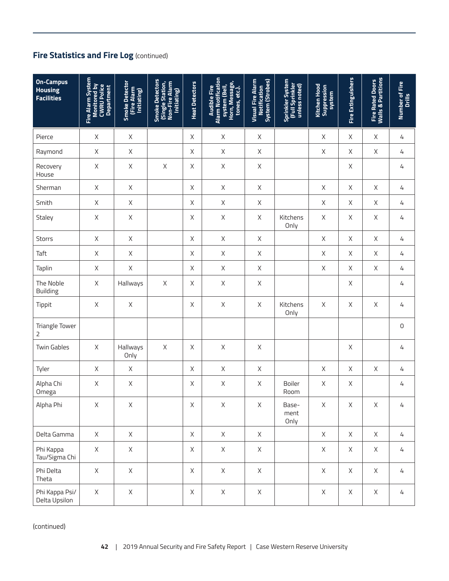| <b>On-Campus</b><br><b>Housing</b><br><b>Facilities</b> | Fire Alarm System<br><b>Monitored by<br/>CWRU Police<br/>Department</b> | Smoke Detector<br>(Fire Alarm<br>Initiating) | Smoke Detectors<br>(Single Station,<br>Non-Fire Alarm<br>Initiating) | <b>Heat Detectors</b> | Alarm Notification<br>system (Bell,<br>Horn, Message,<br>tones, etc.).<br><b>Audible Fire</b> | <b>Visual Fire Alarm</b><br><b>System (Strobes)</b><br><b>Notification</b> | Sprinkler System<br>(Full Sprinkler<br>unless noted) | <b>Kitchen Hood</b><br>Suppression<br>system | <b>Fire Extinguishers</b> | <b>Fire Rated Doors<br/>Walls &amp; Partitions</b> | Number of Fire<br>Drills |
|---------------------------------------------------------|-------------------------------------------------------------------------|----------------------------------------------|----------------------------------------------------------------------|-----------------------|-----------------------------------------------------------------------------------------------|----------------------------------------------------------------------------|------------------------------------------------------|----------------------------------------------|---------------------------|----------------------------------------------------|--------------------------|
| Pierce                                                  | $\mathsf X$                                                             | $\mathsf X$                                  |                                                                      | Χ                     | Χ                                                                                             | $\mathsf X$                                                                |                                                      | $\mathsf X$                                  | $\mathsf X$               | $\mathsf X$                                        | 4                        |
| Raymond                                                 | $\mathsf X$                                                             | $\mathsf X$                                  |                                                                      | X                     | Χ                                                                                             | $\mathsf X$                                                                |                                                      | $\times$                                     | X                         | $\mathsf X$                                        | 4                        |
| Recovery<br>House                                       | $\mathsf X$                                                             | $\mathsf X$                                  | $\mathsf X$                                                          | X                     | Χ                                                                                             | $\mathsf X$                                                                |                                                      |                                              | $\mathsf X$               |                                                    | $\sqrt{4}$               |
| Sherman                                                 | $\mathsf X$                                                             | $\mathsf X$                                  |                                                                      | $\times$              | $\mathsf{X}$                                                                                  | $\mathsf X$                                                                |                                                      | $\mathsf X$                                  | $\times$                  | $\mathsf X$                                        | $\sqrt{4}$               |
| Smith                                                   | $\mathsf X$                                                             | X                                            |                                                                      | X                     | X                                                                                             | $\mathsf X$                                                                |                                                      | $\times$                                     | X                         | X                                                  | 4                        |
| Staley                                                  | $\mathsf X$                                                             | $\mathsf X$                                  |                                                                      | $\mathsf X$           | Χ                                                                                             | $\mathsf X$                                                                | Kitchens<br>Only                                     | $\mathsf X$                                  | $\mathsf X$               | $\mathsf X$                                        | 4                        |
| <b>Storrs</b>                                           | $\mathsf X$                                                             | $\mathsf X$                                  |                                                                      | $\chi$                | Χ                                                                                             | $\mathsf X$                                                                |                                                      | $\mathsf X$                                  | $\times$                  | X                                                  | 4                        |
| Taft                                                    | $\mathsf X$                                                             | $\mathsf{X}$                                 |                                                                      | $\mathsf X$           | $\mathsf{X}$                                                                                  | $\mathsf X$                                                                |                                                      | $\mathsf X$                                  | $\mathsf X$               | $\mathsf X$                                        | 4                        |
| Taplin                                                  | $\mathsf X$                                                             | $\mathsf X$                                  |                                                                      | $\mathsf X$           | $\mathsf{X}$                                                                                  | $\mathsf X$                                                                |                                                      | $\mathsf X$                                  | $\mathsf X$               | $\mathsf X$                                        | 4                        |
| The Noble<br><b>Building</b>                            | $\mathsf X$                                                             | Hallways                                     | $\mathsf X$                                                          | Χ                     | Χ                                                                                             | $\mathsf X$                                                                |                                                      |                                              | $\mathsf X$               |                                                    | 4                        |
| Tippit                                                  | $\mathsf X$                                                             | $\mathsf X$                                  |                                                                      | $\mathsf X$           | Χ                                                                                             | $\mathsf X$                                                                | Kitchens<br>Only                                     | $\mathsf X$                                  | $\mathsf X$               | $\mathsf X$                                        | 4                        |
| <b>Triangle Tower</b><br>2                              |                                                                         |                                              |                                                                      |                       |                                                                                               |                                                                            |                                                      |                                              |                           |                                                    | $\mathsf{O}\xspace$      |
| <b>Twin Gables</b>                                      | $\mathsf X$                                                             | Hallways<br>Only                             | $\mathsf X$                                                          | X                     | Χ                                                                                             | Χ                                                                          |                                                      |                                              | X                         |                                                    | 4                        |
| Tyler                                                   | $\mathsf X$                                                             | X                                            |                                                                      | $\mathsf X$           | $\mathsf{X}% _{0}$                                                                            | $\mathsf X$                                                                |                                                      | $\mathsf X$                                  | $\mathsf X$               | $\mathsf X$                                        | 4                        |
| Alpha Chi<br>Omega                                      | $\mathsf X$                                                             | $\mathsf X$                                  |                                                                      | X                     | Χ                                                                                             | Χ                                                                          | Boiler<br>Room                                       | $\mathsf X$                                  | X                         |                                                    | 4                        |
| Alpha Phi                                               | X                                                                       | X                                            |                                                                      | Χ                     | X                                                                                             | X                                                                          | Base-<br>ment<br>Only                                | X                                            | X                         | X                                                  | 4                        |
| Delta Gamma                                             | $\mathsf X$                                                             | $\mathsf{X}$                                 |                                                                      | $\mathsf{X}$          | $\mathsf{X}$                                                                                  | X                                                                          |                                                      | X                                            | $\mathsf{X}$              | X                                                  | $\overline{4}$           |
| Phi Kappa<br>Tau/Sigma Chi                              | X                                                                       | X                                            |                                                                      | $\times$              | X                                                                                             | X                                                                          |                                                      | X                                            | X                         | X                                                  | 4                        |
| Phi Delta<br>Theta                                      | $\mathsf X$                                                             | $\times$                                     |                                                                      | X                     | $\mathsf{X}$                                                                                  | $\times$                                                                   |                                                      | $\mathsf{X}$                                 | $\mathsf{X}$              | X                                                  | 4                        |
| Phi Kappa Psi/<br>Delta Upsilon                         | $\mathsf X$                                                             | $\mathsf X$                                  |                                                                      | $\mathsf{X}$          | $\mathsf X$                                                                                   | $\mathsf{X}$                                                               |                                                      | $\mathsf{X}$                                 | $\mathsf{X}$              | $\mathsf{X}$                                       | 4                        |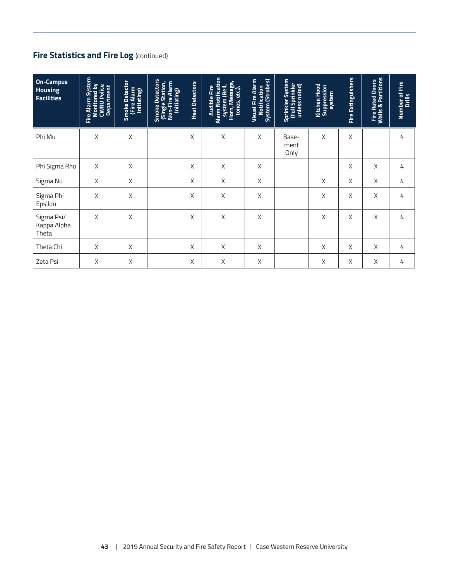| <b>On-Campus</b><br><b>Housing</b><br><b>Facilities</b> | Alarm System<br><b>Monitored by<br/>CWRU Police<br/>Department</b><br>Eire | Smoke Detector<br>(Fire Alarm<br>Initiating) | Smoke Detectors<br>(Single Station,<br>Non-Fire Alarm<br>Initiating) | <b>Heat Detectors</b> | <b>Alarm Notification</b><br>Horn, Message,<br>system (Bell,<br><b>Audible Fire</b><br>tones, etc.). | <b>Visual Fire Alarm</b><br>System (Strobes)<br>Notification | Sprinkler System<br>(Full Sprinkler<br>unless noted) | Kitchen Hood<br>Suppression<br>System | <b>Fire Extinguishers</b> | <b>Fire Rated Doors<br/>Walls &amp; Partitions</b> | Number of Fire<br>Drills |
|---------------------------------------------------------|----------------------------------------------------------------------------|----------------------------------------------|----------------------------------------------------------------------|-----------------------|------------------------------------------------------------------------------------------------------|--------------------------------------------------------------|------------------------------------------------------|---------------------------------------|---------------------------|----------------------------------------------------|--------------------------|
| Phi Mu                                                  | Χ                                                                          | X                                            |                                                                      | X                     | Χ                                                                                                    | Χ                                                            | Base-<br>ment<br>Only                                | X                                     | Χ                         |                                                    | 4                        |
| Phi Sigma Rho                                           | X                                                                          | X                                            |                                                                      | X                     | $\mathsf X$                                                                                          | $\mathsf X$                                                  |                                                      |                                       | X                         | X                                                  | 4                        |
| Sigma Nu                                                | $\mathsf X$                                                                | $\mathsf X$                                  |                                                                      | X                     | X                                                                                                    | X                                                            |                                                      | X                                     | X                         | X                                                  | 4                        |
| Sigma Phi<br>Epsilon                                    | X                                                                          | X                                            |                                                                      | X                     | X                                                                                                    | X                                                            |                                                      | X                                     | Χ                         | X                                                  | 4                        |
| Sigma Psi/<br>Kappa Alpha<br>Theta                      | X                                                                          | Χ                                            |                                                                      | X                     | Χ                                                                                                    | Χ                                                            |                                                      | X                                     | X                         | X                                                  | 4                        |
| Theta Chi                                               | X                                                                          | X                                            |                                                                      | X                     | X                                                                                                    | X                                                            |                                                      | X                                     | X                         | X                                                  | 4                        |
| Zeta Psi                                                | X                                                                          | X                                            |                                                                      | Χ                     | X                                                                                                    | Χ                                                            |                                                      | X                                     | X                         | X                                                  | 4                        |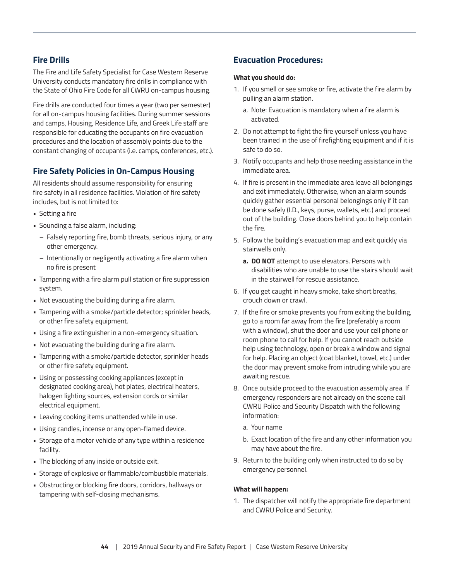# **Fire Drills**

The Fire and Life Safety Specialist for Case Western Reserve University conducts mandatory fire drills in compliance with the State of Ohio Fire Code for all CWRU on-campus housing.

Fire drills are conducted four times a year (two per semester) for all on-campus housing facilities. During summer sessions and camps, Housing, Residence Life, and Greek Life staff are responsible for educating the occupants on fire evacuation procedures and the location of assembly points due to the constant changing of occupants (i.e. camps, conferences, etc.).

# **Fire Safety Policies in On-Campus Housing**

All residents should assume responsibility for ensuring fire safety in all residence facilities. Violation of fire safety includes, but is not limited to:

- Setting a fire
- Sounding a false alarm, including:
	- Falsely reporting fire, bomb threats, serious injury, or any other emergency.
	- Intentionally or negligently activating a fire alarm when no fire is present
- Tampering with a fire alarm pull station or fire suppression system.
- Not evacuating the building during a fire alarm.
- Tampering with a smoke/particle detector; sprinkler heads, or other fire safety equipment.
- Using a fire extinguisher in a non-emergency situation.
- Not evacuating the building during a fire alarm.
- Tampering with a smoke/particle detector, sprinkler heads or other fire safety equipment.
- Using or possessing cooking appliances (except in designated cooking area), hot plates, electrical heaters, halogen lighting sources, extension cords or similar electrical equipment.
- Leaving cooking items unattended while in use.
- Using candles, incense or any open-flamed device.
- Storage of a motor vehicle of any type within a residence facility.
- The blocking of any inside or outside exit.
- Storage of explosive or flammable/combustible materials.
- Obstructing or blocking fire doors, corridors, hallways or tampering with self-closing mechanisms.

# **Evacuation Procedures:**

#### **What you should do:**

- 1. If you smell or see smoke or fire, activate the fire alarm by pulling an alarm station.
	- a. Note: Evacuation is mandatory when a fire alarm is activated.
- 2. Do not attempt to fight the fire yourself unless you have been trained in the use of firefighting equipment and if it is safe to do so.
- 3. Notify occupants and help those needing assistance in the immediate area.
- 4. If fire is present in the immediate area leave all belongings and exit immediately. Otherwise, when an alarm sounds quickly gather essential personal belongings only if it can be done safely (I.D., keys, purse, wallets, etc.) and proceed out of the building. Close doors behind you to help contain the fire.
- 5. Follow the building's evacuation map and exit quickly via stairwells only.
	- **a. DO NOT** attempt to use elevators. Persons with disabilities who are unable to use the stairs should wait in the stairwell for rescue assistance.
- 6. If you get caught in heavy smoke, take short breaths, crouch down or crawl.
- 7. If the fire or smoke prevents you from exiting the building, go to a room far away from the fire (preferably a room with a window), shut the door and use your cell phone or room phone to call for help. If you cannot reach outside help using technology, open or break a window and signal for help. Placing an object (coat blanket, towel, etc.) under the door may prevent smoke from intruding while you are awaiting rescue.
- 8. Once outside proceed to the evacuation assembly area. If emergency responders are not already on the scene call CWRU Police and Security Dispatch with the following information:
	- a. Your name
	- b. Exact location of the fire and any other information you may have about the fire.
- 9. Return to the building only when instructed to do so by emergency personnel.

#### **What will happen:**

1. The dispatcher will notify the appropriate fire department and CWRU Police and Security.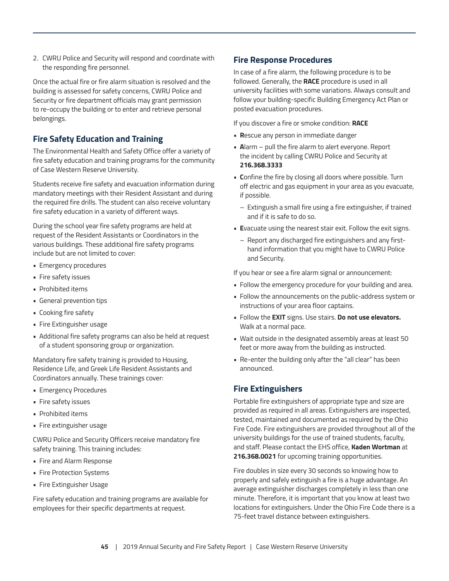2. CWRU Police and Security will respond and coordinate with the responding fire personnel.

Once the actual fire or fire alarm situation is resolved and the building is assessed for safety concerns, CWRU Police and Security or fire department officials may grant permission to re-occupy the building or to enter and retrieve personal belongings.

# **Fire Safety Education and Training**

The Environmental Health and Safety Office offer a variety of fire safety education and training programs for the community of Case Western Reserve University.

Students receive fire safety and evacuation information during mandatory meetings with their Resident Assistant and during the required fire drills. The student can also receive voluntary fire safety education in a variety of different ways.

During the school year fire safety programs are held at request of the Resident Assistants or Coordinators in the various buildings. These additional fire safety programs include but are not limited to cover:

- Emergency procedures
- Fire safety issues
- Prohibited items
- General prevention tips
- Cooking fire safety
- Fire Extinguisher usage
- Additional fire safety programs can also be held at request of a student sponsoring group or organization.

Mandatory fire safety training is provided to Housing, Residence Life, and Greek Life Resident Assistants and Coordinators annually. These trainings cover:

- Emergency Procedures
- Fire safety issues
- Prohibited items
- Fire extinguisher usage

CWRU Police and Security Officers receive mandatory fire safety training. This training includes:

- Fire and Alarm Response
- Fire Protection Systems
- Fire Extinguisher Usage

Fire safety education and training programs are available for employees for their specific departments at request.

#### **Fire Response Procedures**

In case of a fire alarm, the following procedure is to be followed. Generally, the **RACE** procedure is used in all university facilities with some variations. Always consult and follow your building-specific Building Emergency Act Plan or posted evacuation procedures.

If you discover a fire or smoke condition: **RACE**

- **R**escue any person in immediate danger
- **A**larm pull the fire alarm to alert everyone. Report the incident by calling CWRU Police and Security at **216.368.3333**
- **C**onfine the fire by closing all doors where possible. Turn off electric and gas equipment in your area as you evacuate, if possible.
	- Extinguish a small fire using a fire extinguisher, if trained and if it is safe to do so.
- **E**vacuate using the nearest stair exit. Follow the exit signs.
	- Report any discharged fire extinguishers and any firsthand information that you might have to CWRU Police and Security.

If you hear or see a fire alarm signal or announcement:

- Follow the emergency procedure for your building and area.
- Follow the announcements on the public-address system or instructions of your area floor captains.
- Follow the **EXIT** signs. Use stairs. **Do not use elevators.**  Walk at a normal pace.
- Wait outside in the designated assembly areas at least 50 feet or more away from the building as instructed.
- Re-enter the building only after the "all clear" has been announced.

# **Fire Extinguishers**

Portable fire extinguishers of appropriate type and size are provided as required in all areas. Extinguishers are inspected, tested, maintained and documented as required by the Ohio Fire Code. Fire extinguishers are provided throughout all of the university buildings for the use of trained students, faculty, and staff. Please contact the EHS office, **Kaden Wortman** at **216.368.0021** for upcoming training opportunities.

Fire doubles in size every 30 seconds so knowing how to properly and safely extinguish a fire is a huge advantage. An average extinguisher discharges completely in less than one minute. Therefore, it is important that you know at least two locations for extinguishers. Under the Ohio Fire Code there is a 75-feet travel distance between extinguishers.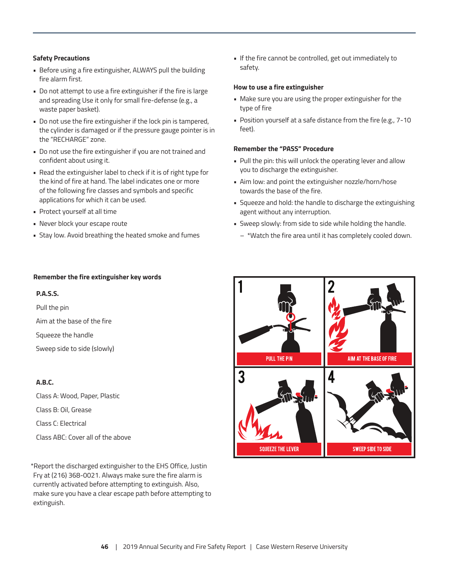#### **Safety Precautions**

- Before using a fire extinguisher, ALWAYS pull the building fire alarm first.
- Do not attempt to use a fire extinguisher if the fire is large and spreading Use it only for small fire-defense (e.g., a waste paper basket).
- Do not use the fire extinguisher if the lock pin is tampered, the cylinder is damaged or if the pressure gauge pointer is in the "RECHARGE" zone.
- Do not use the fire extinguisher if you are not trained and confident about using it.
- Read the extinguisher label to check if it is of right type for the kind of fire at hand. The label indicates one or more of the following fire classes and symbols and specific applications for which it can be used.
- Protect yourself at all time
- Never block your escape route
- Stay low. Avoid breathing the heated smoke and fumes

• If the fire cannot be controlled, get out immediately to safety.

#### **How to use a fire extinguisher**

- Make sure you are using the proper extinguisher for the type of fire
- Position yourself at a safe distance from the fire (e.g., 7-10 feet).

#### **Remember the "PASS" Procedure**

- Pull the pin: this will unlock the operating lever and allow you to discharge the extinguisher.
- Aim low: and point the extinguisher nozzle/horn/hose towards the base of the fire.
- Squeeze and hold: the handle to discharge the extinguishing agent without any interruption.
- Sweep slowly: from side to side while holding the handle.
	- \*Watch the fire area until it has completely cooled down.

# **PULL THE PIN** AIM AT THE BASE OF FIRE 3 **SQUEEZE THE LEVER SWEEP SIDE TO SIDE**

#### **Remember the fire extinguisher key words**

#### **P.A.S.S.**

Pull the pin Aim at the base of the fire Squeeze the handle Sweep side to side (slowly)

# **A.B.C.**

Class A: Wood, Paper, Plastic Class B: Oil, Grease Class C: Electrical Class ABC: Cover all of the above

\*Report the discharged extinguisher to the EHS Office, Justin Fry at (216) 368-0021. Always make sure the fire alarm is currently activated before attempting to extinguish. Also, make sure you have a clear escape path before attempting to extinguish.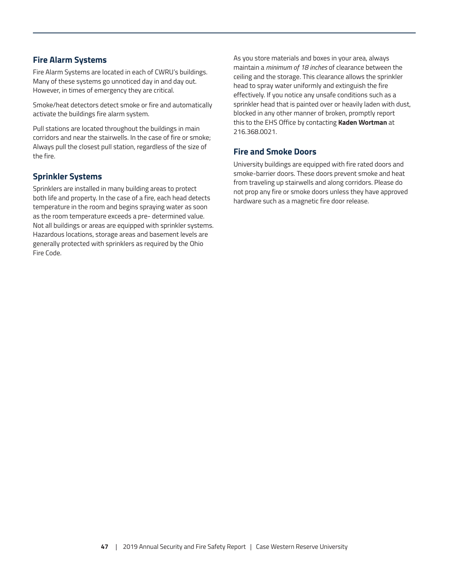# **Fire Alarm Systems**

Fire Alarm Systems are located in each of CWRU's buildings. Many of these systems go unnoticed day in and day out. However, in times of emergency they are critical.

Smoke/heat detectors detect smoke or fire and automatically activate the buildings fire alarm system.

Pull stations are located throughout the buildings in main corridors and near the stairwells. In the case of fire or smoke; Always pull the closest pull station, regardless of the size of the fire.

# **Sprinkler Systems**

Sprinklers are installed in many building areas to protect both life and property. In the case of a fire, each head detects temperature in the room and begins spraying water as soon as the room temperature exceeds a pre- determined value. Not all buildings or areas are equipped with sprinkler systems. Hazardous locations, storage areas and basement levels are generally protected with sprinklers as required by the Ohio Fire Code.

As you store materials and boxes in your area, always maintain a *minimum of 18 inches* of clearance between the ceiling and the storage. This clearance allows the sprinkler head to spray water uniformly and extinguish the fire effectively. If you notice any unsafe conditions such as a sprinkler head that is painted over or heavily laden with dust, blocked in any other manner of broken, promptly report this to the EHS Office by contacting **Kaden Wortman** at 216.368.0021.

## **Fire and Smoke Doors**

University buildings are equipped with fire rated doors and smoke-barrier doors. These doors prevent smoke and heat from traveling up stairwells and along corridors. Please do not prop any fire or smoke doors unless they have approved hardware such as a magnetic fire door release.